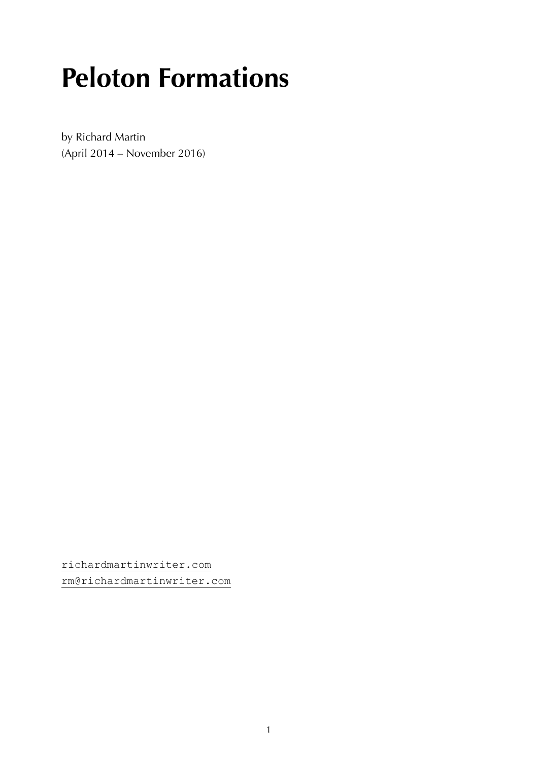# **Peloton Formations**

by Richard Martin (April 2014 – November 2016)

[richardmartinwriter.com](https://richardmartinwriter.com/) [rm@richardmartinwriter.com](mailto:rm@richardmartinwriter.com)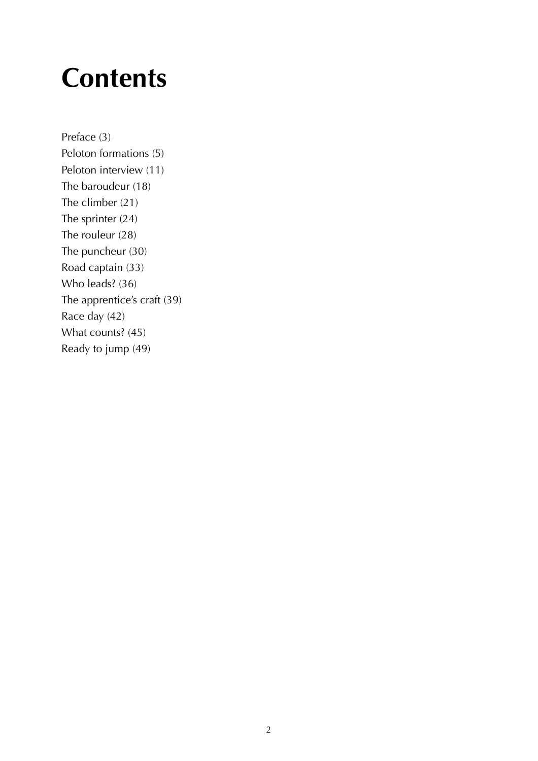#### **Contents**

Preface (3) Peloton formations (5) Peloton interview (11) The baroudeur (18) The climber (21) The sprinter (24) The rouleur (28) The puncheur (30) Road captain (33) Who leads? (36) The apprentice's craft (39) Race day (42) What counts? (45) Ready to jump (49)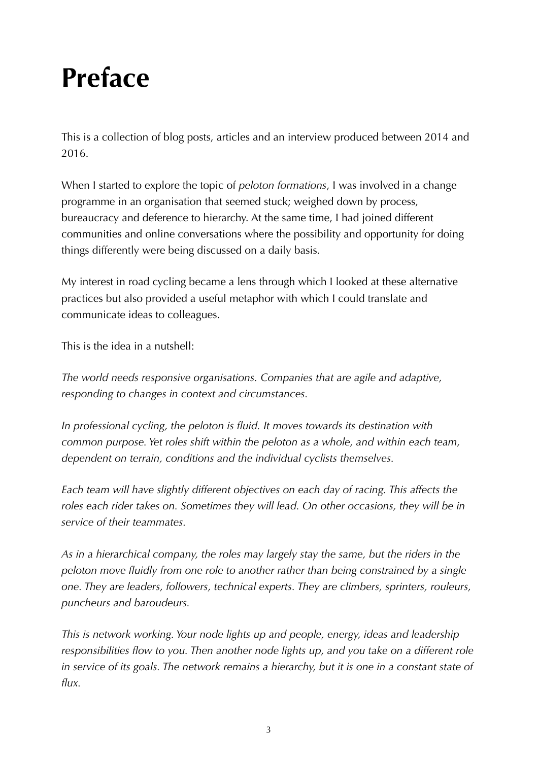### **Preface**

This is a collection of blog posts, articles and an interview produced between 2014 and 2016.

When I started to explore the topic of *peloton formations*, I was involved in a change programme in an organisation that seemed stuck; weighed down by process, bureaucracy and deference to hierarchy. At the same time, I had joined different communities and online conversations where the possibility and opportunity for doing things differently were being discussed on a daily basis.

My interest in road cycling became a lens through which I looked at these alternative practices but also provided a useful metaphor with which I could translate and communicate ideas to colleagues.

This is the idea in a nutshell:

*The world needs responsive organisations. Companies that are agile and adaptive, responding to changes in context and circumstances.*

*In professional cycling, the peloton is fluid. It moves towards its destination with common purpose. Yet roles shift within the peloton as a whole, and within each team, dependent on terrain, conditions and the individual cyclists themselves.*

*Each team will have slightly different objectives on each day of racing. This affects the*  roles each rider takes on. Sometimes they will lead. On other occasions, they will be in *service of their teammates.*

*As in a hierarchical company, the roles may largely stay the same, but the riders in the peloton move fluidly from one role to another rather than being constrained by a single one. They are leaders, followers, technical experts. They are climbers, sprinters, rouleurs, puncheurs and baroudeurs.*

*This is network working. Your node lights up and people, energy, ideas and leadership responsibilities flow to you. Then another node lights up, and you take on a different role*  in service of its goals. The network remains a hierarchy, but it is one in a constant state of *flux.*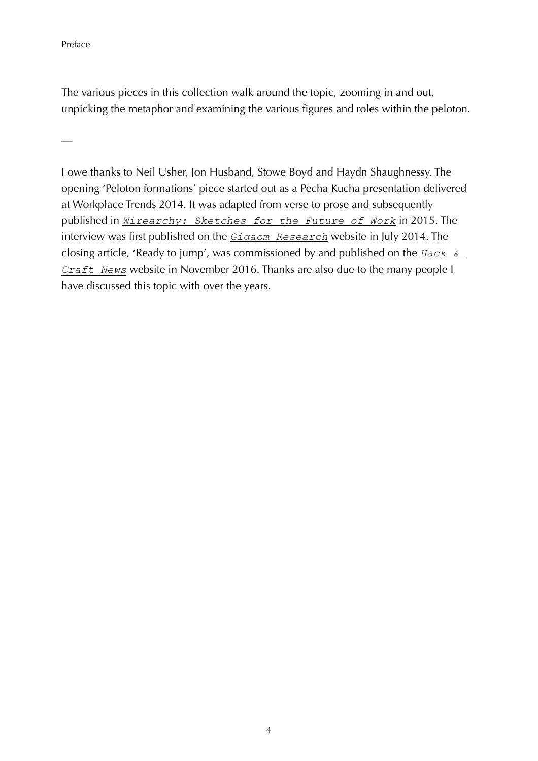Preface

—

The various pieces in this collection walk around the topic, zooming in and out, unpicking the metaphor and examining the various figures and roles within the peloton.

I owe thanks to Neil Usher, Jon Husband, Stowe Boyd and Haydn Shaughnessy. The opening 'Peloton formations' piece started out as a Pecha Kucha presentation delivered at Workplace Trends 2014. It was adapted from verse to prose and subsequently published in *[Wirearchy: Sketches for the Future of Work](http://wirearchy.com/wirearchy-the-ebook/)* in 2015. The interview was first published on the *[Gigaom Research](https://gigaom.com/2014/07/26/the-new-visionaries-richard-martin-on-the-peloton/)* website in July 2014. The closing article, 'Ready to jump', was commissioned by and published on the *[Hack &](https://web.archive.org/web/20181110022159/https://hackandcraft.com/insights/articles/ready-jump-agile-teams-autonomy-peleton)  [Craft News](https://web.archive.org/web/20181110022159/https://hackandcraft.com/insights/articles/ready-jump-agile-teams-autonomy-peleton)* website in November 2016. Thanks are also due to the many people I have discussed this topic with over the years.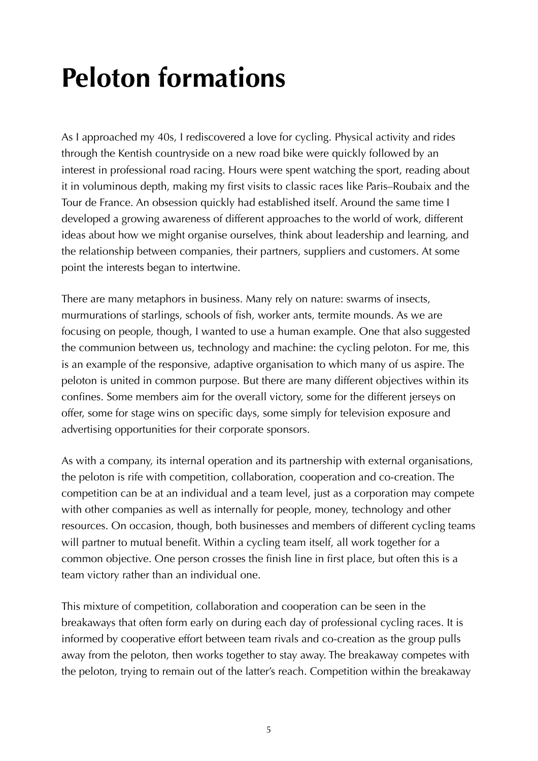# **Peloton formations**

As I approached my 40s, I rediscovered a love for cycling. Physical activity and rides through the Kentish countryside on a new road bike were quickly followed by an interest in professional road racing. Hours were spent watching the sport, reading about it in voluminous depth, making my first visits to classic races like Paris–Roubaix and the Tour de France. An obsession quickly had established itself. Around the same time I developed a growing awareness of different approaches to the world of work, different ideas about how we might organise ourselves, think about leadership and learning, and the relationship between companies, their partners, suppliers and customers. At some point the interests began to intertwine.

There are many metaphors in business. Many rely on nature: swarms of insects, murmurations of starlings, schools of fish, worker ants, termite mounds. As we are focusing on people, though, I wanted to use a human example. One that also suggested the communion between us, technology and machine: the cycling peloton. For me, this is an example of the responsive, adaptive organisation to which many of us aspire. The peloton is united in common purpose. But there are many different objectives within its confines. Some members aim for the overall victory, some for the different jerseys on offer, some for stage wins on specific days, some simply for television exposure and advertising opportunities for their corporate sponsors.

As with a company, its internal operation and its partnership with external organisations, the peloton is rife with competition, collaboration, cooperation and co-creation. The competition can be at an individual and a team level, just as a corporation may compete with other companies as well as internally for people, money, technology and other resources. On occasion, though, both businesses and members of different cycling teams will partner to mutual benefit. Within a cycling team itself, all work together for a common objective. One person crosses the finish line in first place, but often this is a team victory rather than an individual one.

This mixture of competition, collaboration and cooperation can be seen in the breakaways that often form early on during each day of professional cycling races. It is informed by cooperative effort between team rivals and co-creation as the group pulls away from the peloton, then works together to stay away. The breakaway competes with the peloton, trying to remain out of the latter's reach. Competition within the breakaway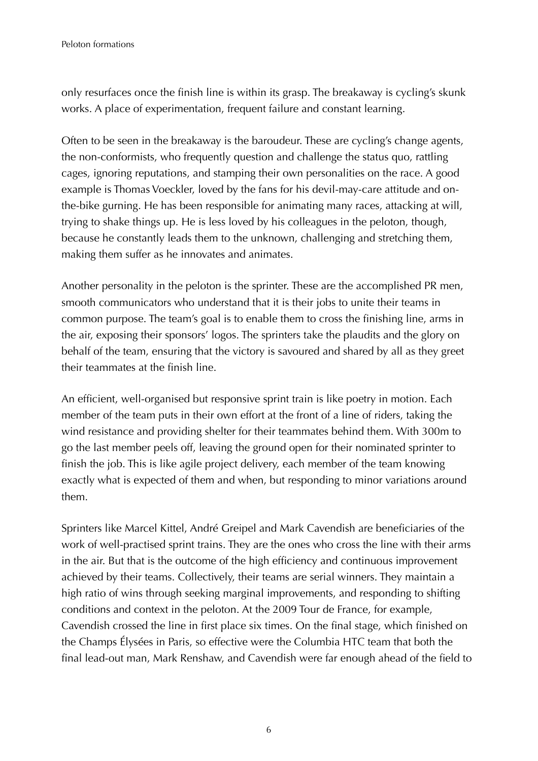only resurfaces once the finish line is within its grasp. The breakaway is cycling's skunk works. A place of experimentation, frequent failure and constant learning.

Often to be seen in the breakaway is the baroudeur. These are cycling's change agents, the non-conformists, who frequently question and challenge the status quo, rattling cages, ignoring reputations, and stamping their own personalities on the race. A good example is Thomas Voeckler, loved by the fans for his devil-may-care attitude and onthe-bike gurning. He has been responsible for animating many races, attacking at will, trying to shake things up. He is less loved by his colleagues in the peloton, though, because he constantly leads them to the unknown, challenging and stretching them, making them suffer as he innovates and animates.

Another personality in the peloton is the sprinter. These are the accomplished PR men, smooth communicators who understand that it is their jobs to unite their teams in common purpose. The team's goal is to enable them to cross the finishing line, arms in the air, exposing their sponsors' logos. The sprinters take the plaudits and the glory on behalf of the team, ensuring that the victory is savoured and shared by all as they greet their teammates at the finish line.

An efficient, well-organised but responsive sprint train is like poetry in motion. Each member of the team puts in their own effort at the front of a line of riders, taking the wind resistance and providing shelter for their teammates behind them. With 300m to go the last member peels off, leaving the ground open for their nominated sprinter to finish the job. This is like agile project delivery, each member of the team knowing exactly what is expected of them and when, but responding to minor variations around them.

Sprinters like Marcel Kittel, André Greipel and Mark Cavendish are beneficiaries of the work of well-practised sprint trains. They are the ones who cross the line with their arms in the air. But that is the outcome of the high efficiency and continuous improvement achieved by their teams. Collectively, their teams are serial winners. They maintain a high ratio of wins through seeking marginal improvements, and responding to shifting conditions and context in the peloton. At the 2009 Tour de France, for example, Cavendish crossed the line in first place six times. On the final stage, which finished on the Champs Élysées in Paris, so effective were the Columbia HTC team that both the final lead-out man, Mark Renshaw, and Cavendish were far enough ahead of the field to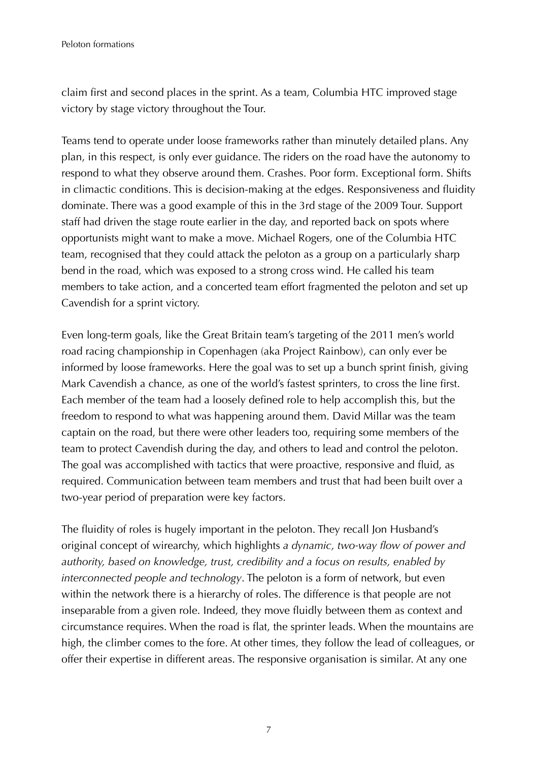claim first and second places in the sprint. As a team, Columbia HTC improved stage victory by stage victory throughout the Tour.

Teams tend to operate under loose frameworks rather than minutely detailed plans. Any plan, in this respect, is only ever guidance. The riders on the road have the autonomy to respond to what they observe around them. Crashes. Poor form. Exceptional form. Shifts in climactic conditions. This is decision-making at the edges. Responsiveness and fluidity dominate. There was a good example of this in the 3rd stage of the 2009 Tour. Support staff had driven the stage route earlier in the day, and reported back on spots where opportunists might want to make a move. Michael Rogers, one of the Columbia HTC team, recognised that they could attack the peloton as a group on a particularly sharp bend in the road, which was exposed to a strong cross wind. He called his team members to take action, and a concerted team effort fragmented the peloton and set up Cavendish for a sprint victory.

Even long-term goals, like the Great Britain team's targeting of the 2011 men's world road racing championship in Copenhagen (aka Project Rainbow), can only ever be informed by loose frameworks. Here the goal was to set up a bunch sprint finish, giving Mark Cavendish a chance, as one of the world's fastest sprinters, to cross the line first. Each member of the team had a loosely defined role to help accomplish this, but the freedom to respond to what was happening around them. David Millar was the team captain on the road, but there were other leaders too, requiring some members of the team to protect Cavendish during the day, and others to lead and control the peloton. The goal was accomplished with tactics that were proactive, responsive and fluid, as required. Communication between team members and trust that had been built over a two-year period of preparation were key factors.

The fluidity of roles is hugely important in the peloton. They recall Jon Husband's original concept of wirearchy, which highlights *a dynamic, two-way flow of power and authority, based on knowledge, trust, credibility and a focus on results, enabled by interconnected people and technology*. The peloton is a form of network, but even within the network there is a hierarchy of roles. The difference is that people are not inseparable from a given role. Indeed, they move fluidly between them as context and circumstance requires. When the road is flat, the sprinter leads. When the mountains are high, the climber comes to the fore. At other times, they follow the lead of colleagues, or offer their expertise in different areas. The responsive organisation is similar. At any one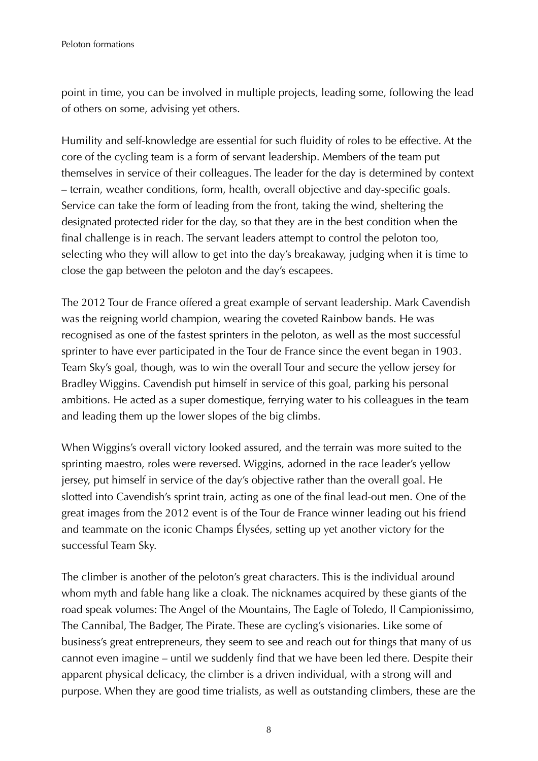point in time, you can be involved in multiple projects, leading some, following the lead of others on some, advising yet others.

Humility and self-knowledge are essential for such fluidity of roles to be effective. At the core of the cycling team is a form of servant leadership. Members of the team put themselves in service of their colleagues. The leader for the day is determined by context – terrain, weather conditions, form, health, overall objective and day-specific goals. Service can take the form of leading from the front, taking the wind, sheltering the designated protected rider for the day, so that they are in the best condition when the final challenge is in reach. The servant leaders attempt to control the peloton too, selecting who they will allow to get into the day's breakaway, judging when it is time to close the gap between the peloton and the day's escapees.

The 2012 Tour de France offered a great example of servant leadership. Mark Cavendish was the reigning world champion, wearing the coveted Rainbow bands. He was recognised as one of the fastest sprinters in the peloton, as well as the most successful sprinter to have ever participated in the Tour de France since the event began in 1903. Team Sky's goal, though, was to win the overall Tour and secure the yellow jersey for Bradley Wiggins. Cavendish put himself in service of this goal, parking his personal ambitions. He acted as a super domestique, ferrying water to his colleagues in the team and leading them up the lower slopes of the big climbs.

When Wiggins's overall victory looked assured, and the terrain was more suited to the sprinting maestro, roles were reversed. Wiggins, adorned in the race leader's yellow jersey, put himself in service of the day's objective rather than the overall goal. He slotted into Cavendish's sprint train, acting as one of the final lead-out men. One of the great images from the 2012 event is of the Tour de France winner leading out his friend and teammate on the iconic Champs Élysées, setting up yet another victory for the successful Team Sky.

The climber is another of the peloton's great characters. This is the individual around whom myth and fable hang like a cloak. The nicknames acquired by these giants of the road speak volumes: The Angel of the Mountains, The Eagle of Toledo, Il Campionissimo, The Cannibal, The Badger, The Pirate. These are cycling's visionaries. Like some of business's great entrepreneurs, they seem to see and reach out for things that many of us cannot even imagine – until we suddenly find that we have been led there. Despite their apparent physical delicacy, the climber is a driven individual, with a strong will and purpose. When they are good time trialists, as well as outstanding climbers, these are the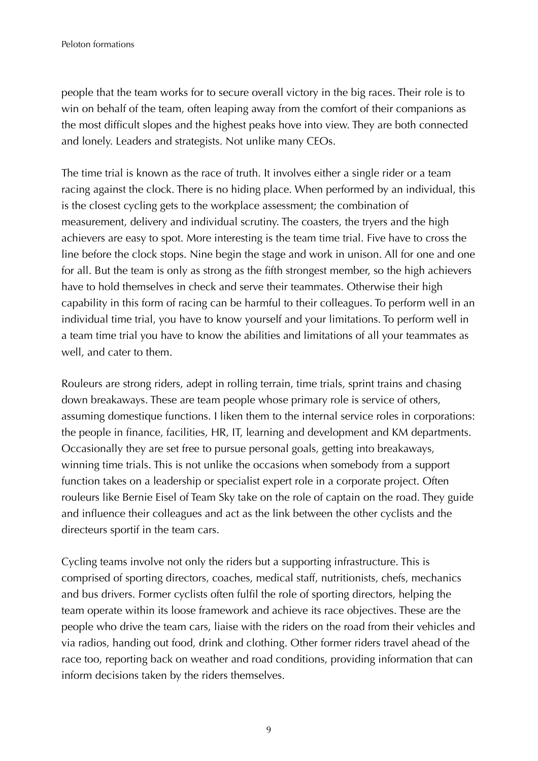people that the team works for to secure overall victory in the big races. Their role is to win on behalf of the team, often leaping away from the comfort of their companions as the most difficult slopes and the highest peaks hove into view. They are both connected and lonely. Leaders and strategists. Not unlike many CEOs.

The time trial is known as the race of truth. It involves either a single rider or a team racing against the clock. There is no hiding place. When performed by an individual, this is the closest cycling gets to the workplace assessment; the combination of measurement, delivery and individual scrutiny. The coasters, the tryers and the high achievers are easy to spot. More interesting is the team time trial. Five have to cross the line before the clock stops. Nine begin the stage and work in unison. All for one and one for all. But the team is only as strong as the fifth strongest member, so the high achievers have to hold themselves in check and serve their teammates. Otherwise their high capability in this form of racing can be harmful to their colleagues. To perform well in an individual time trial, you have to know yourself and your limitations. To perform well in a team time trial you have to know the abilities and limitations of all your teammates as well, and cater to them.

Rouleurs are strong riders, adept in rolling terrain, time trials, sprint trains and chasing down breakaways. These are team people whose primary role is service of others, assuming domestique functions. I liken them to the internal service roles in corporations: the people in finance, facilities, HR, IT, learning and development and KM departments. Occasionally they are set free to pursue personal goals, getting into breakaways, winning time trials. This is not unlike the occasions when somebody from a support function takes on a leadership or specialist expert role in a corporate project. Often rouleurs like Bernie Eisel of Team Sky take on the role of captain on the road. They guide and influence their colleagues and act as the link between the other cyclists and the directeurs sportif in the team cars.

Cycling teams involve not only the riders but a supporting infrastructure. This is comprised of sporting directors, coaches, medical staff, nutritionists, chefs, mechanics and bus drivers. Former cyclists often fulfil the role of sporting directors, helping the team operate within its loose framework and achieve its race objectives. These are the people who drive the team cars, liaise with the riders on the road from their vehicles and via radios, handing out food, drink and clothing. Other former riders travel ahead of the race too, reporting back on weather and road conditions, providing information that can inform decisions taken by the riders themselves.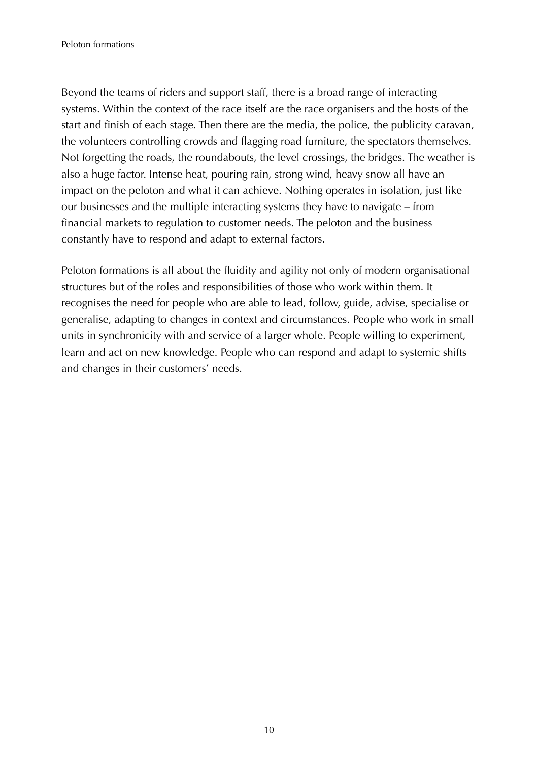Beyond the teams of riders and support staff, there is a broad range of interacting systems. Within the context of the race itself are the race organisers and the hosts of the start and finish of each stage. Then there are the media, the police, the publicity caravan, the volunteers controlling crowds and flagging road furniture, the spectators themselves. Not forgetting the roads, the roundabouts, the level crossings, the bridges. The weather is also a huge factor. Intense heat, pouring rain, strong wind, heavy snow all have an impact on the peloton and what it can achieve. Nothing operates in isolation, just like our businesses and the multiple interacting systems they have to navigate – from financial markets to regulation to customer needs. The peloton and the business constantly have to respond and adapt to external factors.

Peloton formations is all about the fluidity and agility not only of modern organisational structures but of the roles and responsibilities of those who work within them. It recognises the need for people who are able to lead, follow, guide, advise, specialise or generalise, adapting to changes in context and circumstances. People who work in small units in synchronicity with and service of a larger whole. People willing to experiment, learn and act on new knowledge. People who can respond and adapt to systemic shifts and changes in their customers' needs.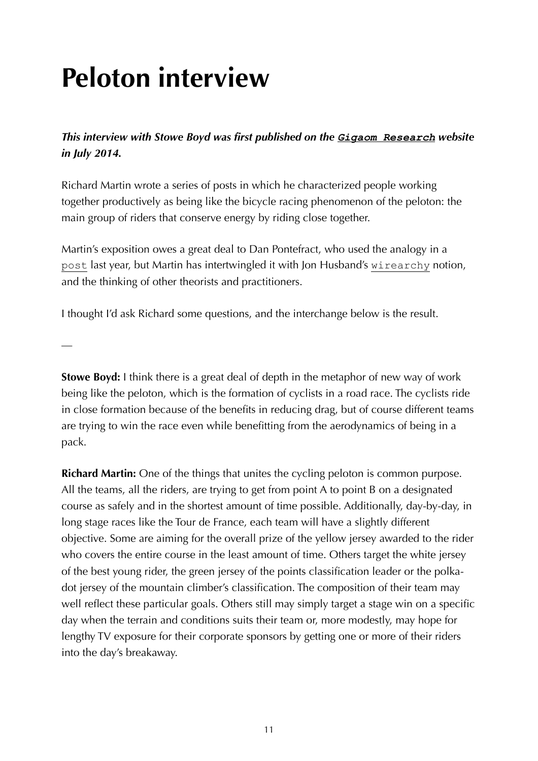# **Peloton interview**

*This interview with Stowe Boyd was first published on the [Gigaom Research](https://gigaom.com/2014/07/26/the-new-visionaries-richard-martin-on-the-peloton/) website in July 2014.*

Richard Martin wrote a series of posts in which he characterized people working together productively as being like the bicycle racing phenomenon of the peloton: the main group of riders that conserve energy by riding close together.

Martin's exposition owes a great deal to Dan Pontefract, who used the analogy in a [post](http://www.danpontefract.com/the-organization-as-a-cycling-peloton/) last year, but Martin has intertwingled it with Jon Husband's [wirearchy](http://wirearchy.com/what-is-wirearchy/) notion, and the thinking of other theorists and practitioners.

I thought I'd ask Richard some questions, and the interchange below is the result.

—

**Stowe Boyd:** I think there is a great deal of depth in the metaphor of new way of work being like the peloton, which is the formation of cyclists in a road race. The cyclists ride in close formation because of the benefits in reducing drag, but of course different teams are trying to win the race even while benefitting from the aerodynamics of being in a pack.

**Richard Martin:** One of the things that unites the cycling peloton is common purpose. All the teams, all the riders, are trying to get from point A to point B on a designated course as safely and in the shortest amount of time possible. Additionally, day-by-day, in long stage races like the Tour de France, each team will have a slightly different objective. Some are aiming for the overall prize of the yellow jersey awarded to the rider who covers the entire course in the least amount of time. Others target the white jersey of the best young rider, the green jersey of the points classification leader or the polkadot jersey of the mountain climber's classification. The composition of their team may well reflect these particular goals. Others still may simply target a stage win on a specific day when the terrain and conditions suits their team or, more modestly, may hope for lengthy TV exposure for their corporate sponsors by getting one or more of their riders into the day's breakaway.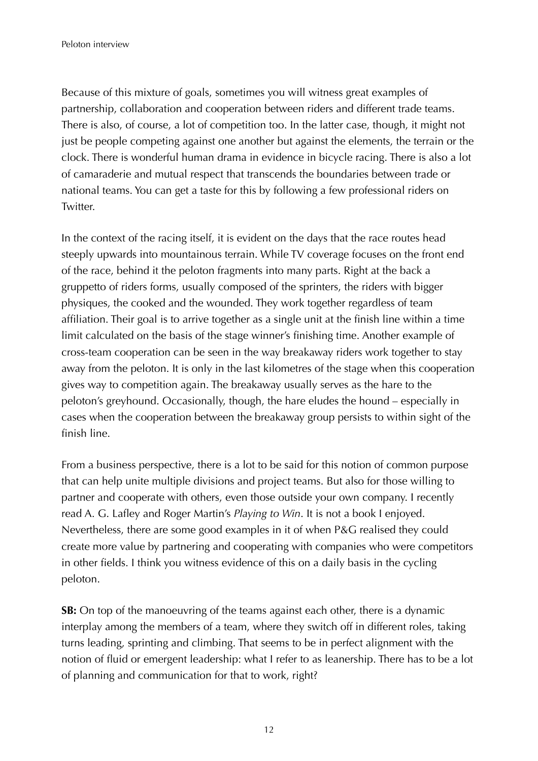Because of this mixture of goals, sometimes you will witness great examples of partnership, collaboration and cooperation between riders and different trade teams. There is also, of course, a lot of competition too. In the latter case, though, it might not just be people competing against one another but against the elements, the terrain or the clock. There is wonderful human drama in evidence in bicycle racing. There is also a lot of camaraderie and mutual respect that transcends the boundaries between trade or national teams. You can get a taste for this by following a few professional riders on Twitter.

In the context of the racing itself, it is evident on the days that the race routes head steeply upwards into mountainous terrain. While TV coverage focuses on the front end of the race, behind it the peloton fragments into many parts. Right at the back a gruppetto of riders forms, usually composed of the sprinters, the riders with bigger physiques, the cooked and the wounded. They work together regardless of team affiliation. Their goal is to arrive together as a single unit at the finish line within a time limit calculated on the basis of the stage winner's finishing time. Another example of cross-team cooperation can be seen in the way breakaway riders work together to stay away from the peloton. It is only in the last kilometres of the stage when this cooperation gives way to competition again. The breakaway usually serves as the hare to the peloton's greyhound. Occasionally, though, the hare eludes the hound – especially in cases when the cooperation between the breakaway group persists to within sight of the finish line.

From a business perspective, there is a lot to be said for this notion of common purpose that can help unite multiple divisions and project teams. But also for those willing to partner and cooperate with others, even those outside your own company. I recently read A. G. Lafley and Roger Martin's *Playing to Win*. It is not a book I enjoyed. Nevertheless, there are some good examples in it of when P&G realised they could create more value by partnering and cooperating with companies who were competitors in other fields. I think you witness evidence of this on a daily basis in the cycling peloton.

**SB:** On top of the manoeuvring of the teams against each other, there is a dynamic interplay among the members of a team, where they switch off in different roles, taking turns leading, sprinting and climbing. That seems to be in perfect alignment with the notion of fluid or emergent leadership: what I refer to as leanership. There has to be a lot of planning and communication for that to work, right?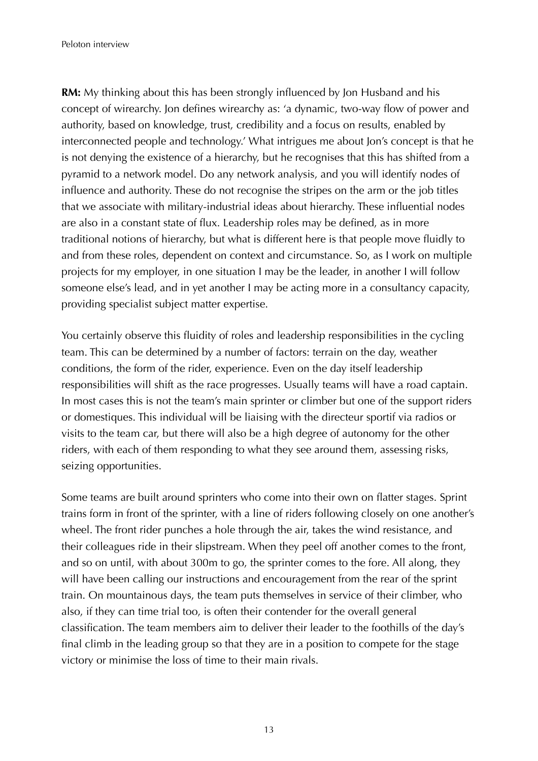**RM:** My thinking about this has been strongly influenced by Jon Husband and his concept of wirearchy. Jon defines wirearchy as: 'a dynamic, two-way flow of power and authority, based on knowledge, trust, credibility and a focus on results, enabled by interconnected people and technology.' What intrigues me about Jon's concept is that he is not denying the existence of a hierarchy, but he recognises that this has shifted from a pyramid to a network model. Do any network analysis, and you will identify nodes of influence and authority. These do not recognise the stripes on the arm or the job titles that we associate with military-industrial ideas about hierarchy. These influential nodes are also in a constant state of flux. Leadership roles may be defined, as in more traditional notions of hierarchy, but what is different here is that people move fluidly to and from these roles, dependent on context and circumstance. So, as I work on multiple projects for my employer, in one situation I may be the leader, in another I will follow someone else's lead, and in yet another I may be acting more in a consultancy capacity, providing specialist subject matter expertise.

You certainly observe this fluidity of roles and leadership responsibilities in the cycling team. This can be determined by a number of factors: terrain on the day, weather conditions, the form of the rider, experience. Even on the day itself leadership responsibilities will shift as the race progresses. Usually teams will have a road captain. In most cases this is not the team's main sprinter or climber but one of the support riders or domestiques. This individual will be liaising with the directeur sportif via radios or visits to the team car, but there will also be a high degree of autonomy for the other riders, with each of them responding to what they see around them, assessing risks, seizing opportunities.

Some teams are built around sprinters who come into their own on flatter stages. Sprint trains form in front of the sprinter, with a line of riders following closely on one another's wheel. The front rider punches a hole through the air, takes the wind resistance, and their colleagues ride in their slipstream. When they peel off another comes to the front, and so on until, with about 300m to go, the sprinter comes to the fore. All along, they will have been calling our instructions and encouragement from the rear of the sprint train. On mountainous days, the team puts themselves in service of their climber, who also, if they can time trial too, is often their contender for the overall general classification. The team members aim to deliver their leader to the foothills of the day's final climb in the leading group so that they are in a position to compete for the stage victory or minimise the loss of time to their main rivals.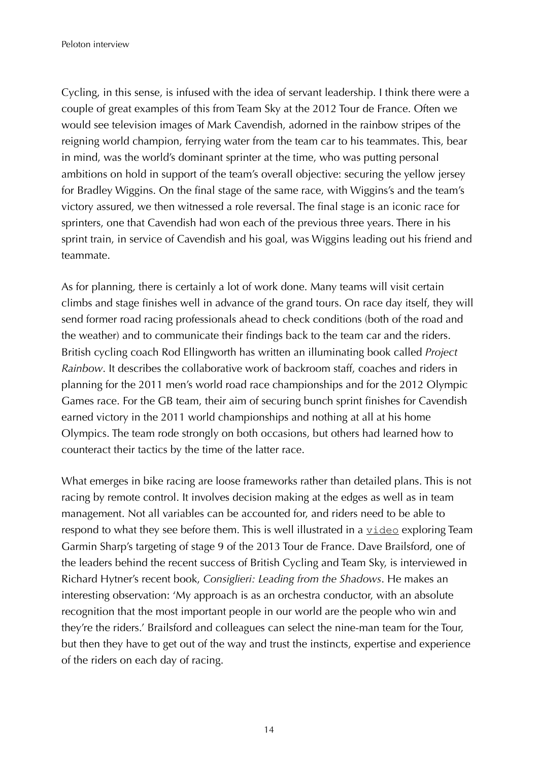Cycling, in this sense, is infused with the idea of servant leadership. I think there were a couple of great examples of this from Team Sky at the 2012 Tour de France. Often we would see television images of Mark Cavendish, adorned in the rainbow stripes of the reigning world champion, ferrying water from the team car to his teammates. This, bear in mind, was the world's dominant sprinter at the time, who was putting personal ambitions on hold in support of the team's overall objective: securing the yellow jersey for Bradley Wiggins. On the final stage of the same race, with Wiggins's and the team's victory assured, we then witnessed a role reversal. The final stage is an iconic race for sprinters, one that Cavendish had won each of the previous three years. There in his sprint train, in service of Cavendish and his goal, was Wiggins leading out his friend and teammate.

As for planning, there is certainly a lot of work done. Many teams will visit certain climbs and stage finishes well in advance of the grand tours. On race day itself, they will send former road racing professionals ahead to check conditions (both of the road and the weather) and to communicate their findings back to the team car and the riders. British cycling coach Rod Ellingworth has written an illuminating book called *Project Rainbow*. It describes the collaborative work of backroom staff, coaches and riders in planning for the 2011 men's world road race championships and for the 2012 Olympic Games race. For the GB team, their aim of securing bunch sprint finishes for Cavendish earned victory in the 2011 world championships and nothing at all at his home Olympics. The team rode strongly on both occasions, but others had learned how to counteract their tactics by the time of the latter race.

What emerges in bike racing are loose frameworks rather than detailed plans. This is not racing by remote control. It involves decision making at the edges as well as in team management. Not all variables can be accounted for, and riders need to be able to respond to what they see before them. This is well illustrated in a [video](https://www.youtube.com/watch?v=id1Q9RNtfd0) exploring Team Garmin Sharp's targeting of stage 9 of the 2013 Tour de France. Dave Brailsford, one of the leaders behind the recent success of British Cycling and Team Sky, is interviewed in Richard Hytner's recent book, *Consiglieri: Leading from the Shadows*. He makes an interesting observation: 'My approach is as an orchestra conductor, with an absolute recognition that the most important people in our world are the people who win and they're the riders.' Brailsford and colleagues can select the nine-man team for the Tour, but then they have to get out of the way and trust the instincts, expertise and experience of the riders on each day of racing.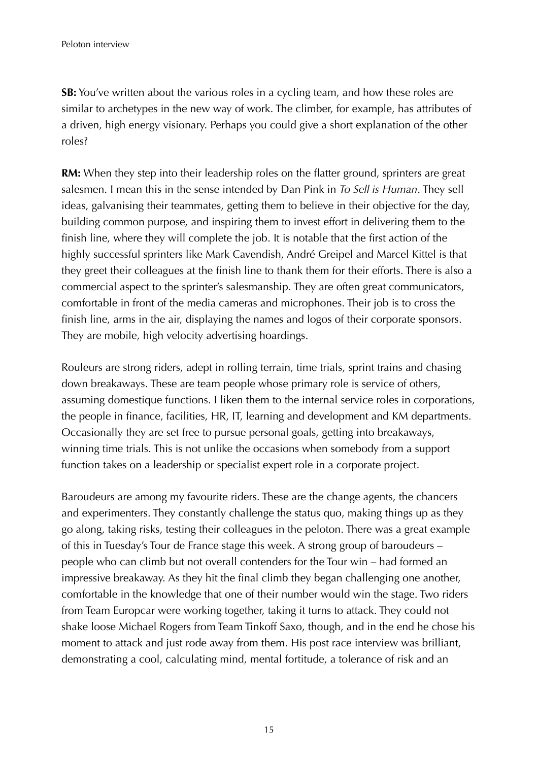**SB:** You've written about the various roles in a cycling team, and how these roles are similar to archetypes in the new way of work. The climber, for example, has attributes of a driven, high energy visionary. Perhaps you could give a short explanation of the other roles?

**RM:** When they step into their leadership roles on the flatter ground, sprinters are great salesmen. I mean this in the sense intended by Dan Pink in *To Sell is Human*. They sell ideas, galvanising their teammates, getting them to believe in their objective for the day, building common purpose, and inspiring them to invest effort in delivering them to the finish line, where they will complete the job. It is notable that the first action of the highly successful sprinters like Mark Cavendish, André Greipel and Marcel Kittel is that they greet their colleagues at the finish line to thank them for their efforts. There is also a commercial aspect to the sprinter's salesmanship. They are often great communicators, comfortable in front of the media cameras and microphones. Their job is to cross the finish line, arms in the air, displaying the names and logos of their corporate sponsors. They are mobile, high velocity advertising hoardings.

Rouleurs are strong riders, adept in rolling terrain, time trials, sprint trains and chasing down breakaways. These are team people whose primary role is service of others, assuming domestique functions. I liken them to the internal service roles in corporations, the people in finance, facilities, HR, IT, learning and development and KM departments. Occasionally they are set free to pursue personal goals, getting into breakaways, winning time trials. This is not unlike the occasions when somebody from a support function takes on a leadership or specialist expert role in a corporate project.

Baroudeurs are among my favourite riders. These are the change agents, the chancers and experimenters. They constantly challenge the status quo, making things up as they go along, taking risks, testing their colleagues in the peloton. There was a great example of this in Tuesday's Tour de France stage this week. A strong group of baroudeurs – people who can climb but not overall contenders for the Tour win – had formed an impressive breakaway. As they hit the final climb they began challenging one another, comfortable in the knowledge that one of their number would win the stage. Two riders from Team Europcar were working together, taking it turns to attack. They could not shake loose Michael Rogers from Team Tinkoff Saxo, though, and in the end he chose his moment to attack and just rode away from them. His post race interview was brilliant, demonstrating a cool, calculating mind, mental fortitude, a tolerance of risk and an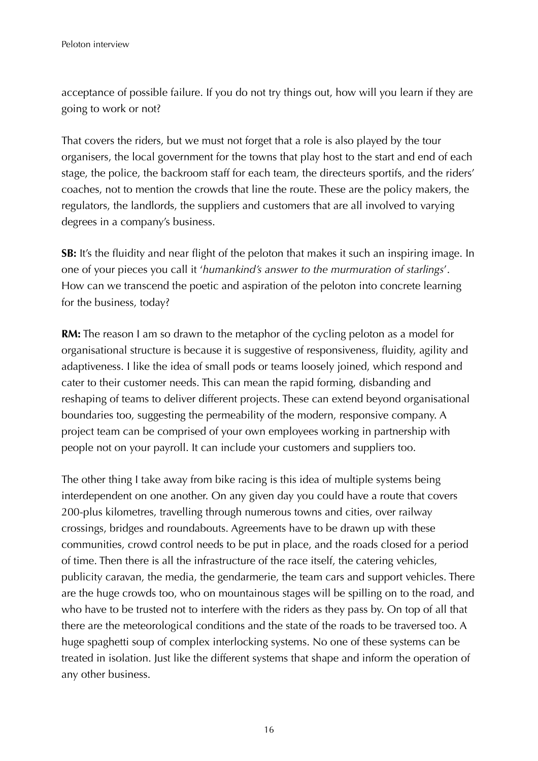acceptance of possible failure. If you do not try things out, how will you learn if they are going to work or not?

That covers the riders, but we must not forget that a role is also played by the tour organisers, the local government for the towns that play host to the start and end of each stage, the police, the backroom staff for each team, the directeurs sportifs, and the riders' coaches, not to mention the crowds that line the route. These are the policy makers, the regulators, the landlords, the suppliers and customers that are all involved to varying degrees in a company's business.

**SB:** It's the fluidity and near flight of the peloton that makes it such an inspiring image. In one of your pieces you call it '*humankind's answer to the murmuration of starlings*'. How can we transcend the poetic and aspiration of the peloton into concrete learning for the business, today?

**RM:** The reason I am so drawn to the metaphor of the cycling peloton as a model for organisational structure is because it is suggestive of responsiveness, fluidity, agility and adaptiveness. I like the idea of small pods or teams loosely joined, which respond and cater to their customer needs. This can mean the rapid forming, disbanding and reshaping of teams to deliver different projects. These can extend beyond organisational boundaries too, suggesting the permeability of the modern, responsive company. A project team can be comprised of your own employees working in partnership with people not on your payroll. It can include your customers and suppliers too.

The other thing I take away from bike racing is this idea of multiple systems being interdependent on one another. On any given day you could have a route that covers 200-plus kilometres, travelling through numerous towns and cities, over railway crossings, bridges and roundabouts. Agreements have to be drawn up with these communities, crowd control needs to be put in place, and the roads closed for a period of time. Then there is all the infrastructure of the race itself, the catering vehicles, publicity caravan, the media, the gendarmerie, the team cars and support vehicles. There are the huge crowds too, who on mountainous stages will be spilling on to the road, and who have to be trusted not to interfere with the riders as they pass by. On top of all that there are the meteorological conditions and the state of the roads to be traversed too. A huge spaghetti soup of complex interlocking systems. No one of these systems can be treated in isolation. Just like the different systems that shape and inform the operation of any other business.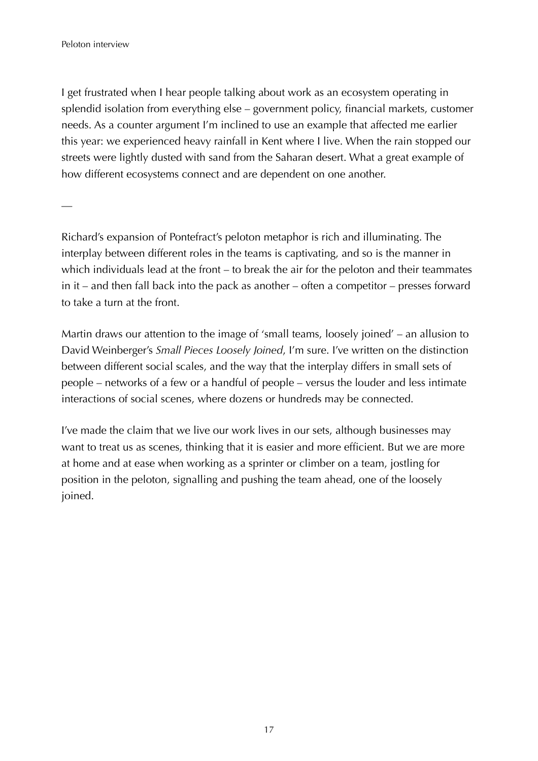I get frustrated when I hear people talking about work as an ecosystem operating in splendid isolation from everything else – government policy, financial markets, customer needs. As a counter argument I'm inclined to use an example that affected me earlier this year: we experienced heavy rainfall in Kent where I live. When the rain stopped our streets were lightly dusted with sand from the Saharan desert. What a great example of how different ecosystems connect and are dependent on one another.

—

Richard's expansion of Pontefract's peloton metaphor is rich and illuminating. The interplay between different roles in the teams is captivating, and so is the manner in which individuals lead at the front – to break the air for the peloton and their teammates in it – and then fall back into the pack as another – often a competitor – presses forward to take a turn at the front.

Martin draws our attention to the image of 'small teams, loosely joined' – an allusion to David Weinberger's *Small Pieces Loosely Joined*, I'm sure. I've written on the distinction between different social scales, and the way that the interplay differs in small sets of people – networks of a few or a handful of people – versus the louder and less intimate interactions of social scenes, where dozens or hundreds may be connected.

I've made the claim that we live our work lives in our sets, although businesses may want to treat us as scenes, thinking that it is easier and more efficient. But we are more at home and at ease when working as a sprinter or climber on a team, jostling for position in the peloton, signalling and pushing the team ahead, one of the loosely joined.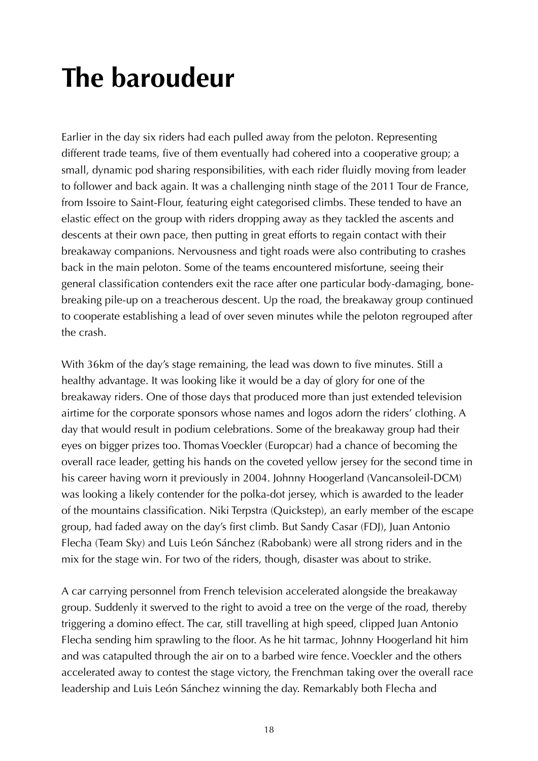## **The baroudeur**

Earlier in the day six riders had each pulled away from the peloton. Representing different trade teams, five of them eventually had cohered into a cooperative group; a small, dynamic pod sharing responsibilities, with each rider fluidly moving from leader to follower and back again. It was a challenging ninth stage of the 2011 Tour de France, from Issoire to Saint-Flour, featuring eight categorised climbs. These tended to have an elastic effect on the group with riders dropping away as they tackled the ascents and descents at their own pace, then putting in great efforts to regain contact with their breakaway companions. Nervousness and tight roads were also contributing to crashes back in the main peloton. Some of the teams encountered misfortune, seeing their general classification contenders exit the race after one particular body-damaging, bonebreaking pile-up on a treacherous descent. Up the road, the breakaway group continued to cooperate establishing a lead of over seven minutes while the peloton regrouped after the crash.

With 36km of the day's stage remaining, the lead was down to five minutes. Still a healthy advantage. It was looking like it would be a day of glory for one of the breakaway riders. One of those days that produced more than just extended television airtime for the corporate sponsors whose names and logos adorn the riders' clothing. A day that would result in podium celebrations. Some of the breakaway group had their eyes on bigger prizes too. Thomas Voeckler (Europcar) had a chance of becoming the overall race leader, getting his hands on the coveted yellow jersey for the second time in his career having worn it previously in 2004. Johnny Hoogerland (Vancansoleil-DCM) was looking a likely contender for the polka-dot jersey, which is awarded to the leader of the mountains classification. Niki Terpstra (Quickstep), an early member of the escape group, had faded away on the day's first climb. But Sandy Casar (FDJ), Juan Antonio Flecha (Team Sky) and Luis León Sánchez (Rabobank) were all strong riders and in the mix for the stage win. For two of the riders, though, disaster was about to strike.

A car carrying personnel from French television accelerated alongside the breakaway group. Suddenly it swerved to the right to avoid a tree on the verge of the road, thereby triggering a domino effect. The car, still travelling at high speed, clipped Juan Antonio Flecha sending him sprawling to the floor. As he hit tarmac, Johnny Hoogerland hit him and was catapulted through the air on to a barbed wire fence. Voeckler and the others accelerated away to contest the stage victory, the Frenchman taking over the overall race leadership and Luis León Sánchez winning the day. Remarkably both Flecha and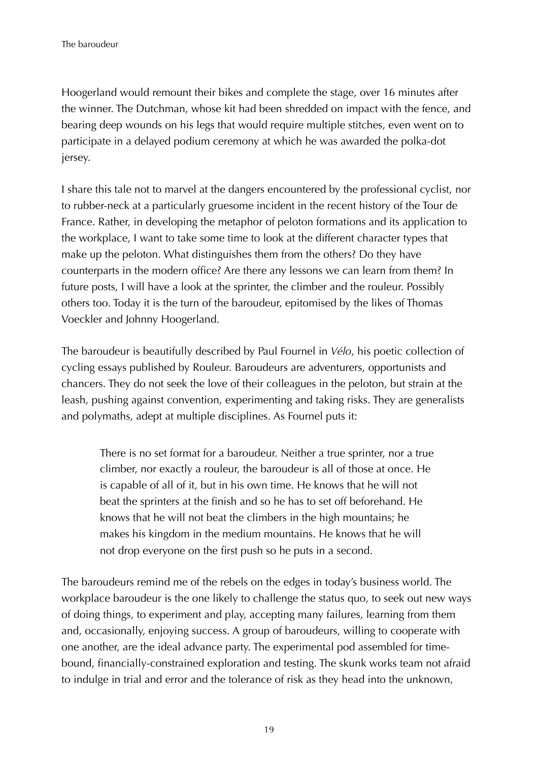Hoogerland would remount their bikes and complete the stage, over 16 minutes after the winner. The Dutchman, whose kit had been shredded on impact with the fence, and bearing deep wounds on his legs that would require multiple stitches, even went on to participate in a delayed podium ceremony at which he was awarded the polka-dot jersey.

I share this tale not to marvel at the dangers encountered by the professional cyclist, nor to rubber-neck at a particularly gruesome incident in the recent history of the Tour de France. Rather, in developing the metaphor of peloton formations and its application to the workplace, I want to take some time to look at the different character types that make up the peloton. What distinguishes them from the others? Do they have counterparts in the modern office? Are there any lessons we can learn from them? In future posts, I will have a look at the sprinter, the climber and the rouleur. Possibly others too. Today it is the turn of the baroudeur, epitomised by the likes of Thomas Voeckler and Johnny Hoogerland.

The baroudeur is beautifully described by Paul Fournel in *Vélo*, his poetic collection of cycling essays published by Rouleur. Baroudeurs are adventurers, opportunists and chancers. They do not seek the love of their colleagues in the peloton, but strain at the leash, pushing against convention, experimenting and taking risks. They are generalists and polymaths, adept at multiple disciplines. As Fournel puts it:

There is no set format for a baroudeur. Neither a true sprinter, nor a true climber, nor exactly a rouleur, the baroudeur is all of those at once. He is capable of all of it, but in his own time. He knows that he will not beat the sprinters at the finish and so he has to set off beforehand. He knows that he will not beat the climbers in the high mountains; he makes his kingdom in the medium mountains. He knows that he will not drop everyone on the first push so he puts in a second.

The baroudeurs remind me of the rebels on the edges in today's business world. The workplace baroudeur is the one likely to challenge the status quo, to seek out new ways of doing things, to experiment and play, accepting many failures, learning from them and, occasionally, enjoying success. A group of baroudeurs, willing to cooperate with one another, are the ideal advance party. The experimental pod assembled for timebound, financially-constrained exploration and testing. The skunk works team not afraid to indulge in trial and error and the tolerance of risk as they head into the unknown,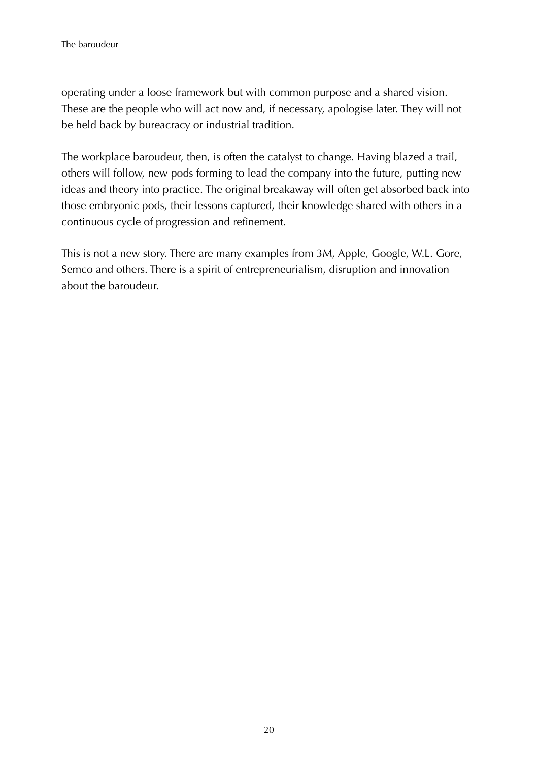operating under a loose framework but with common purpose and a shared vision. These are the people who will act now and, if necessary, apologise later. They will not be held back by bureacracy or industrial tradition.

The workplace baroudeur, then, is often the catalyst to change. Having blazed a trail, others will follow, new pods forming to lead the company into the future, putting new ideas and theory into practice. The original breakaway will often get absorbed back into those embryonic pods, their lessons captured, their knowledge shared with others in a continuous cycle of progression and refinement.

This is not a new story. There are many examples from 3M, Apple, Google, W.L. Gore, Semco and others. There is a spirit of entrepreneurialism, disruption and innovation about the baroudeur.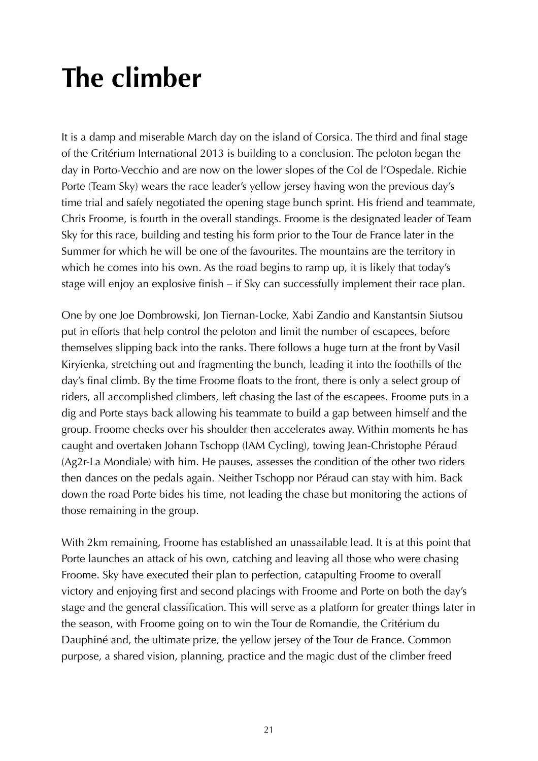# **The climber**

It is a damp and miserable March day on the island of Corsica. The third and final stage of the Critérium International 2013 is building to a conclusion. The peloton began the day in Porto-Vecchio and are now on the lower slopes of the Col de l'Ospedale. Richie Porte (Team Sky) wears the race leader's yellow jersey having won the previous day's time trial and safely negotiated the opening stage bunch sprint. His friend and teammate, Chris Froome, is fourth in the overall standings. Froome is the designated leader of Team Sky for this race, building and testing his form prior to the Tour de France later in the Summer for which he will be one of the favourites. The mountains are the territory in which he comes into his own. As the road begins to ramp up, it is likely that today's stage will enjoy an explosive finish – if Sky can successfully implement their race plan.

One by one Joe Dombrowski, Jon Tiernan-Locke, Xabi Zandio and Kanstantsin Siutsou put in efforts that help control the peloton and limit the number of escapees, before themselves slipping back into the ranks. There follows a huge turn at the front by Vasil Kiryienka, stretching out and fragmenting the bunch, leading it into the foothills of the day's final climb. By the time Froome floats to the front, there is only a select group of riders, all accomplished climbers, left chasing the last of the escapees. Froome puts in a dig and Porte stays back allowing his teammate to build a gap between himself and the group. Froome checks over his shoulder then accelerates away. Within moments he has caught and overtaken Johann Tschopp (IAM Cycling), towing Jean-Christophe Péraud (Ag2r-La Mondiale) with him. He pauses, assesses the condition of the other two riders then dances on the pedals again. Neither Tschopp nor Péraud can stay with him. Back down the road Porte bides his time, not leading the chase but monitoring the actions of those remaining in the group.

With 2km remaining, Froome has established an unassailable lead. It is at this point that Porte launches an attack of his own, catching and leaving all those who were chasing Froome. Sky have executed their plan to perfection, catapulting Froome to overall victory and enjoying first and second placings with Froome and Porte on both the day's stage and the general classification. This will serve as a platform for greater things later in the season, with Froome going on to win the Tour de Romandie, the Critérium du Dauphiné and, the ultimate prize, the yellow jersey of the Tour de France. Common purpose, a shared vision, planning, practice and the magic dust of the climber freed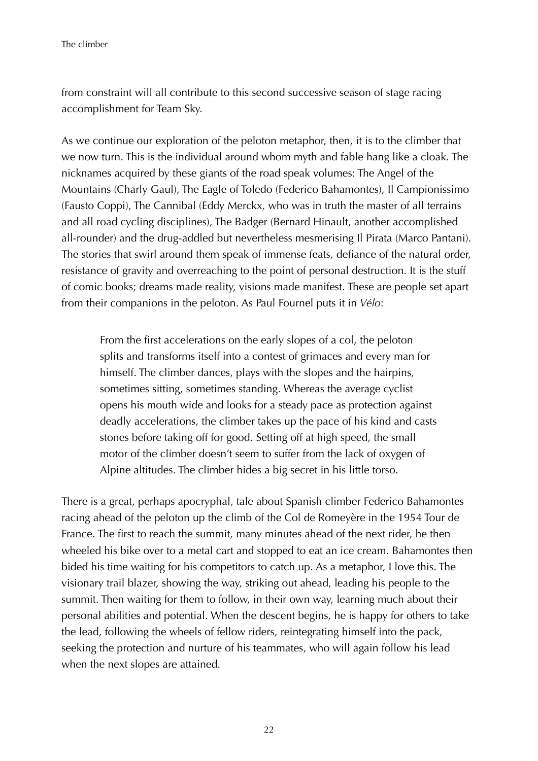from constraint will all contribute to this second successive season of stage racing accomplishment for Team Sky.

As we continue our exploration of the peloton metaphor, then, it is to the climber that we now turn. This is the individual around whom myth and fable hang like a cloak. The nicknames acquired by these giants of the road speak volumes: The Angel of the Mountains (Charly Gaul), The Eagle of Toledo (Federico Bahamontes), Il Campionissimo (Fausto Coppi), The Cannibal (Eddy Merckx, who was in truth the master of all terrains and all road cycling disciplines), The Badger (Bernard Hinault, another accomplished all-rounder) and the drug-addled but nevertheless mesmerising Il Pirata (Marco Pantani). The stories that swirl around them speak of immense feats, defiance of the natural order, resistance of gravity and overreaching to the point of personal destruction. It is the stuff of comic books; dreams made reality, visions made manifest. These are people set apart from their companions in the peloton. As Paul Fournel puts it in *Vélo*:

From the first accelerations on the early slopes of a col, the peloton splits and transforms itself into a contest of grimaces and every man for himself. The climber dances, plays with the slopes and the hairpins, sometimes sitting, sometimes standing. Whereas the average cyclist opens his mouth wide and looks for a steady pace as protection against deadly accelerations, the climber takes up the pace of his kind and casts stones before taking off for good. Setting off at high speed, the small motor of the climber doesn't seem to suffer from the lack of oxygen of Alpine altitudes. The climber hides a big secret in his little torso.

There is a great, perhaps apocryphal, tale about Spanish climber Federico Bahamontes racing ahead of the peloton up the climb of the Col de Romeyère in the 1954 Tour de France. The first to reach the summit, many minutes ahead of the next rider, he then wheeled his bike over to a metal cart and stopped to eat an ice cream. Bahamontes then bided his time waiting for his competitors to catch up. As a metaphor, I love this. The visionary trail blazer, showing the way, striking out ahead, leading his people to the summit. Then waiting for them to follow, in their own way, learning much about their personal abilities and potential. When the descent begins, he is happy for others to take the lead, following the wheels of fellow riders, reintegrating himself into the pack, seeking the protection and nurture of his teammates, who will again follow his lead when the next slopes are attained.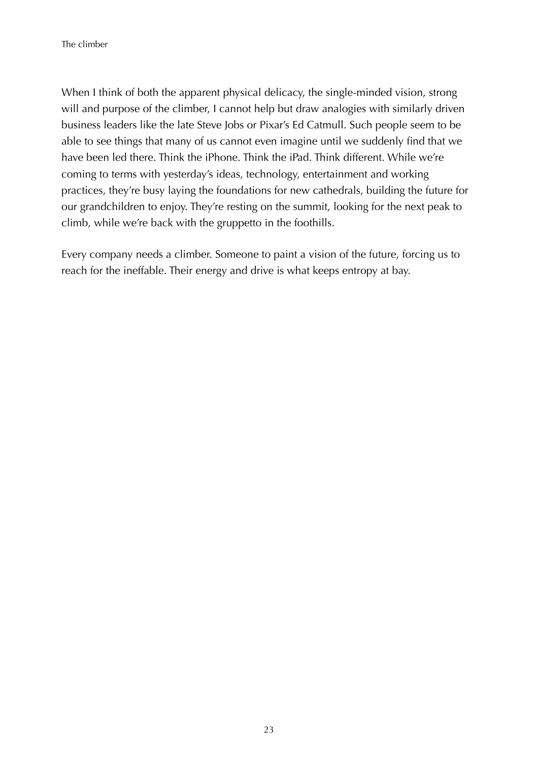When I think of both the apparent physical delicacy, the single-minded vision, strong will and purpose of the climber, I cannot help but draw analogies with similarly driven business leaders like the late Steve Jobs or Pixar's Ed Catmull. Such people seem to be able to see things that many of us cannot even imagine until we suddenly find that we have been led there. Think the iPhone. Think the iPad. Think different. While we're coming to terms with yesterday's ideas, technology, entertainment and working practices, they're busy laying the foundations for new cathedrals, building the future for our grandchildren to enjoy. They're resting on the summit, looking for the next peak to climb, while we're back with the gruppetto in the foothills.

Every company needs a climber. Someone to paint a vision of the future, forcing us to reach for the ineffable. Their energy and drive is what keeps entropy at bay.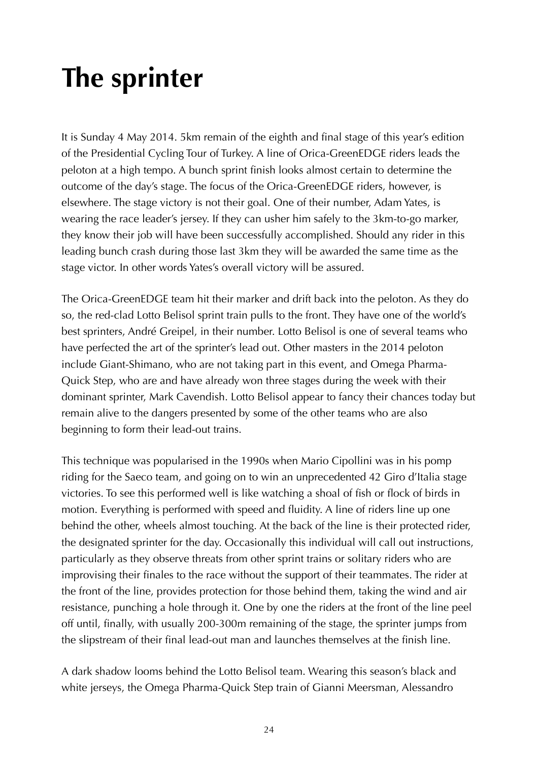# **The sprinter**

It is Sunday 4 May 2014. 5km remain of the eighth and final stage of this year's edition of the Presidential Cycling Tour of Turkey. A line of Orica-GreenEDGE riders leads the peloton at a high tempo. A bunch sprint finish looks almost certain to determine the outcome of the day's stage. The focus of the Orica-GreenEDGE riders, however, is elsewhere. The stage victory is not their goal. One of their number, Adam Yates, is wearing the race leader's jersey. If they can usher him safely to the 3km-to-go marker, they know their job will have been successfully accomplished. Should any rider in this leading bunch crash during those last 3km they will be awarded the same time as the stage victor. In other words Yates's overall victory will be assured.

The Orica-GreenEDGE team hit their marker and drift back into the peloton. As they do so, the red-clad Lotto Belisol sprint train pulls to the front. They have one of the world's best sprinters, André Greipel, in their number. Lotto Belisol is one of several teams who have perfected the art of the sprinter's lead out. Other masters in the 2014 peloton include Giant-Shimano, who are not taking part in this event, and Omega Pharma-Quick Step, who are and have already won three stages during the week with their dominant sprinter, Mark Cavendish. Lotto Belisol appear to fancy their chances today but remain alive to the dangers presented by some of the other teams who are also beginning to form their lead-out trains.

This technique was popularised in the 1990s when Mario Cipollini was in his pomp riding for the Saeco team, and going on to win an unprecedented 42 Giro d'Italia stage victories. To see this performed well is like watching a shoal of fish or flock of birds in motion. Everything is performed with speed and fluidity. A line of riders line up one behind the other, wheels almost touching. At the back of the line is their protected rider, the designated sprinter for the day. Occasionally this individual will call out instructions, particularly as they observe threats from other sprint trains or solitary riders who are improvising their finales to the race without the support of their teammates. The rider at the front of the line, provides protection for those behind them, taking the wind and air resistance, punching a hole through it. One by one the riders at the front of the line peel off until, finally, with usually 200-300m remaining of the stage, the sprinter jumps from the slipstream of their final lead-out man and launches themselves at the finish line.

A dark shadow looms behind the Lotto Belisol team. Wearing this season's black and white jerseys, the Omega Pharma-Quick Step train of Gianni Meersman, Alessandro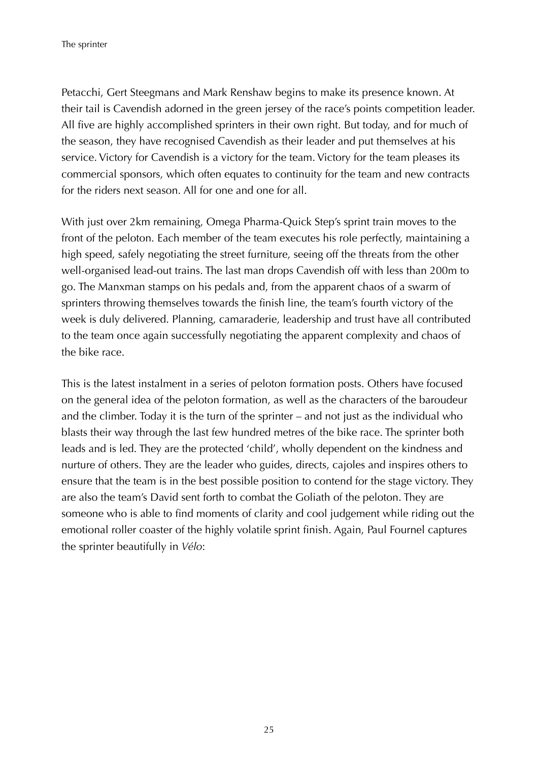Petacchi, Gert Steegmans and Mark Renshaw begins to make its presence known. At their tail is Cavendish adorned in the green jersey of the race's points competition leader. All five are highly accomplished sprinters in their own right. But today, and for much of the season, they have recognised Cavendish as their leader and put themselves at his service. Victory for Cavendish is a victory for the team. Victory for the team pleases its commercial sponsors, which often equates to continuity for the team and new contracts for the riders next season. All for one and one for all.

With just over 2km remaining, Omega Pharma-Quick Step's sprint train moves to the front of the peloton. Each member of the team executes his role perfectly, maintaining a high speed, safely negotiating the street furniture, seeing off the threats from the other well-organised lead-out trains. The last man drops Cavendish off with less than 200m to go. The Manxman stamps on his pedals and, from the apparent chaos of a swarm of sprinters throwing themselves towards the finish line, the team's fourth victory of the week is duly delivered. Planning, camaraderie, leadership and trust have all contributed to the team once again successfully negotiating the apparent complexity and chaos of the bike race.

This is the latest instalment in a series of peloton formation posts. Others have focused on the general idea of the peloton formation, as well as the characters of the baroudeur and the climber. Today it is the turn of the sprinter – and not just as the individual who blasts their way through the last few hundred metres of the bike race. The sprinter both leads and is led. They are the protected 'child', wholly dependent on the kindness and nurture of others. They are the leader who guides, directs, cajoles and inspires others to ensure that the team is in the best possible position to contend for the stage victory. They are also the team's David sent forth to combat the Goliath of the peloton. They are someone who is able to find moments of clarity and cool judgement while riding out the emotional roller coaster of the highly volatile sprint finish. Again, Paul Fournel captures the sprinter beautifully in *Vélo*: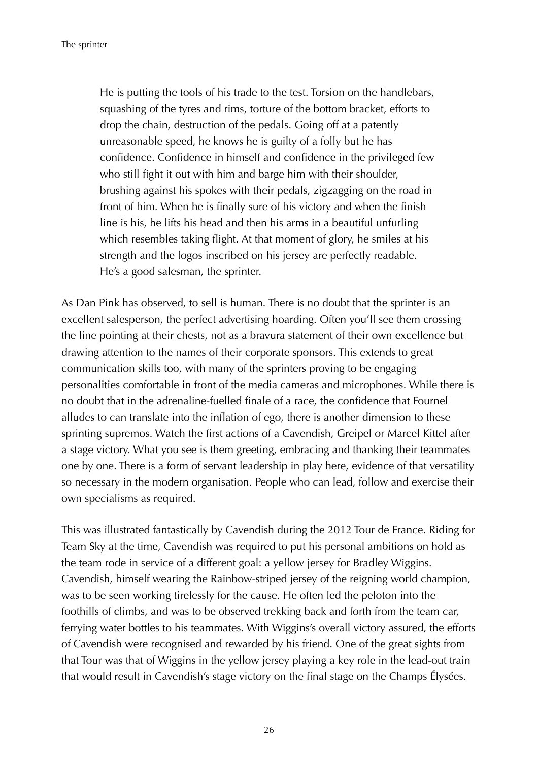He is putting the tools of his trade to the test. Torsion on the handlebars, squashing of the tyres and rims, torture of the bottom bracket, efforts to drop the chain, destruction of the pedals. Going off at a patently unreasonable speed, he knows he is guilty of a folly but he has confidence. Confidence in himself and confidence in the privileged few who still fight it out with him and barge him with their shoulder, brushing against his spokes with their pedals, zigzagging on the road in front of him. When he is finally sure of his victory and when the finish line is his, he lifts his head and then his arms in a beautiful unfurling which resembles taking flight. At that moment of glory, he smiles at his strength and the logos inscribed on his jersey are perfectly readable. He's a good salesman, the sprinter.

As Dan Pink has observed, to sell is human. There is no doubt that the sprinter is an excellent salesperson, the perfect advertising hoarding. Often you'll see them crossing the line pointing at their chests, not as a bravura statement of their own excellence but drawing attention to the names of their corporate sponsors. This extends to great communication skills too, with many of the sprinters proving to be engaging personalities comfortable in front of the media cameras and microphones. While there is no doubt that in the adrenaline-fuelled finale of a race, the confidence that Fournel alludes to can translate into the inflation of ego, there is another dimension to these sprinting supremos. Watch the first actions of a Cavendish, Greipel or Marcel Kittel after a stage victory. What you see is them greeting, embracing and thanking their teammates one by one. There is a form of servant leadership in play here, evidence of that versatility so necessary in the modern organisation. People who can lead, follow and exercise their own specialisms as required.

This was illustrated fantastically by Cavendish during the 2012 Tour de France. Riding for Team Sky at the time, Cavendish was required to put his personal ambitions on hold as the team rode in service of a different goal: a yellow jersey for Bradley Wiggins. Cavendish, himself wearing the Rainbow-striped jersey of the reigning world champion, was to be seen working tirelessly for the cause. He often led the peloton into the foothills of climbs, and was to be observed trekking back and forth from the team car, ferrying water bottles to his teammates. With Wiggins's overall victory assured, the efforts of Cavendish were recognised and rewarded by his friend. One of the great sights from that Tour was that of Wiggins in the yellow jersey playing a key role in the lead-out train that would result in Cavendish's stage victory on the final stage on the Champs Élysées.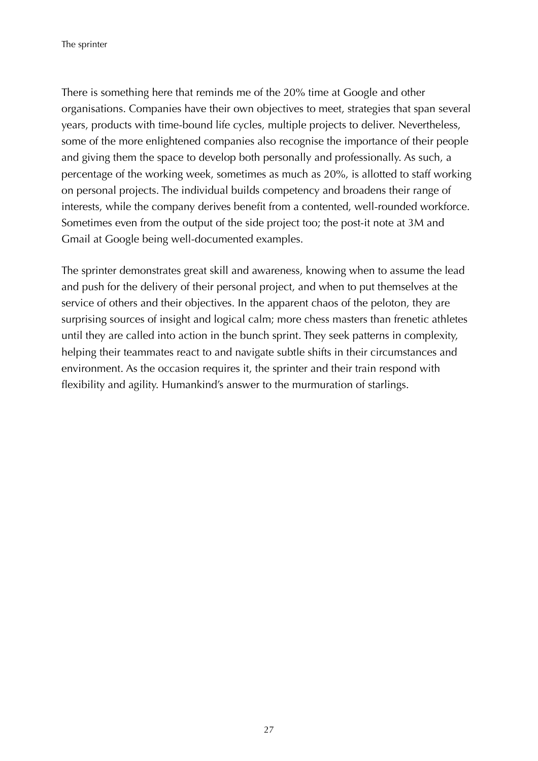There is something here that reminds me of the 20% time at Google and other organisations. Companies have their own objectives to meet, strategies that span several years, products with time-bound life cycles, multiple projects to deliver. Nevertheless, some of the more enlightened companies also recognise the importance of their people and giving them the space to develop both personally and professionally. As such, a percentage of the working week, sometimes as much as 20%, is allotted to staff working on personal projects. The individual builds competency and broadens their range of interests, while the company derives benefit from a contented, well-rounded workforce. Sometimes even from the output of the side project too; the post-it note at 3M and Gmail at Google being well-documented examples.

The sprinter demonstrates great skill and awareness, knowing when to assume the lead and push for the delivery of their personal project, and when to put themselves at the service of others and their objectives. In the apparent chaos of the peloton, they are surprising sources of insight and logical calm; more chess masters than frenetic athletes until they are called into action in the bunch sprint. They seek patterns in complexity, helping their teammates react to and navigate subtle shifts in their circumstances and environment. As the occasion requires it, the sprinter and their train respond with flexibility and agility. Humankind's answer to the murmuration of starlings.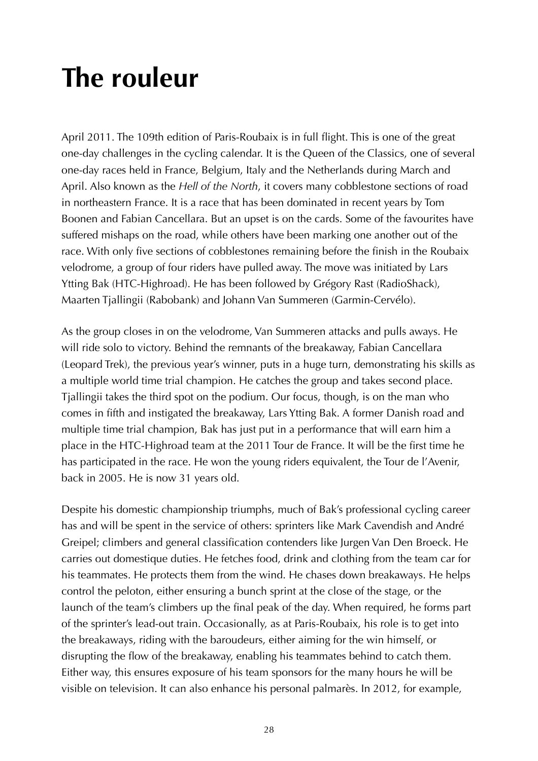### **The rouleur**

April 2011. The 109th edition of Paris-Roubaix is in full flight. This is one of the great one-day challenges in the cycling calendar. It is the Queen of the Classics, one of several one-day races held in France, Belgium, Italy and the Netherlands during March and April. Also known as the *Hell of the North*, it covers many cobblestone sections of road in northeastern France. It is a race that has been dominated in recent years by Tom Boonen and Fabian Cancellara. But an upset is on the cards. Some of the favourites have suffered mishaps on the road, while others have been marking one another out of the race. With only five sections of cobblestones remaining before the finish in the Roubaix velodrome, a group of four riders have pulled away. The move was initiated by Lars Ytting Bak (HTC-Highroad). He has been followed by Grégory Rast (RadioShack), Maarten Tjallingii (Rabobank) and Johann Van Summeren (Garmin-Cervélo).

As the group closes in on the velodrome, Van Summeren attacks and pulls aways. He will ride solo to victory. Behind the remnants of the breakaway, Fabian Cancellara (Leopard Trek), the previous year's winner, puts in a huge turn, demonstrating his skills as a multiple world time trial champion. He catches the group and takes second place. Tjallingii takes the third spot on the podium. Our focus, though, is on the man who comes in fifth and instigated the breakaway, Lars Ytting Bak. A former Danish road and multiple time trial champion, Bak has just put in a performance that will earn him a place in the HTC-Highroad team at the 2011 Tour de France. It will be the first time he has participated in the race. He won the young riders equivalent, the Tour de l'Avenir, back in 2005. He is now 31 years old.

Despite his domestic championship triumphs, much of Bak's professional cycling career has and will be spent in the service of others: sprinters like Mark Cavendish and André Greipel; climbers and general classification contenders like Jurgen Van Den Broeck. He carries out domestique duties. He fetches food, drink and clothing from the team car for his teammates. He protects them from the wind. He chases down breakaways. He helps control the peloton, either ensuring a bunch sprint at the close of the stage, or the launch of the team's climbers up the final peak of the day. When required, he forms part of the sprinter's lead-out train. Occasionally, as at Paris-Roubaix, his role is to get into the breakaways, riding with the baroudeurs, either aiming for the win himself, or disrupting the flow of the breakaway, enabling his teammates behind to catch them. Either way, this ensures exposure of his team sponsors for the many hours he will be visible on television. It can also enhance his personal palmarès. In 2012, for example,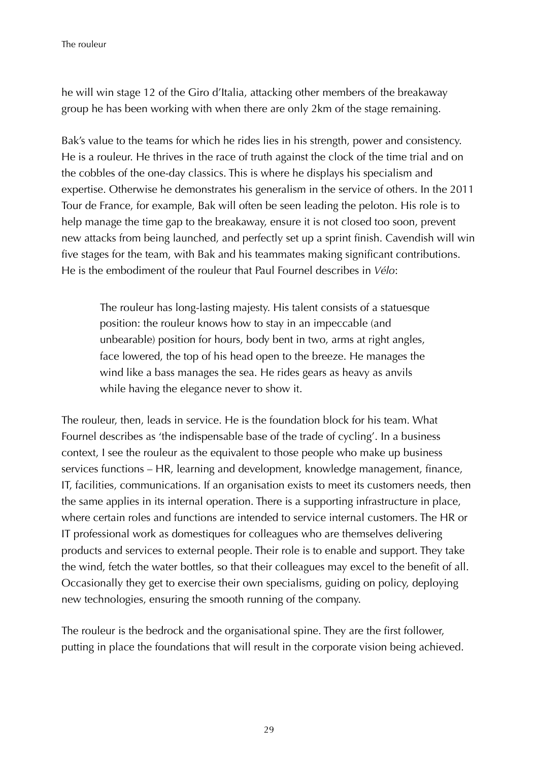he will win stage 12 of the Giro d'Italia, attacking other members of the breakaway group he has been working with when there are only 2km of the stage remaining.

Bak's value to the teams for which he rides lies in his strength, power and consistency. He is a rouleur. He thrives in the race of truth against the clock of the time trial and on the cobbles of the one-day classics. This is where he displays his specialism and expertise. Otherwise he demonstrates his generalism in the service of others. In the 2011 Tour de France, for example, Bak will often be seen leading the peloton. His role is to help manage the time gap to the breakaway, ensure it is not closed too soon, prevent new attacks from being launched, and perfectly set up a sprint finish. Cavendish will win five stages for the team, with Bak and his teammates making significant contributions. He is the embodiment of the rouleur that Paul Fournel describes in *Vélo*:

The rouleur has long-lasting majesty. His talent consists of a statuesque position: the rouleur knows how to stay in an impeccable (and unbearable) position for hours, body bent in two, arms at right angles, face lowered, the top of his head open to the breeze. He manages the wind like a bass manages the sea. He rides gears as heavy as anvils while having the elegance never to show it.

The rouleur, then, leads in service. He is the foundation block for his team. What Fournel describes as 'the indispensable base of the trade of cycling'. In a business context, I see the rouleur as the equivalent to those people who make up business services functions – HR, learning and development, knowledge management, finance, IT, facilities, communications. If an organisation exists to meet its customers needs, then the same applies in its internal operation. There is a supporting infrastructure in place, where certain roles and functions are intended to service internal customers. The HR or IT professional work as domestiques for colleagues who are themselves delivering products and services to external people. Their role is to enable and support. They take the wind, fetch the water bottles, so that their colleagues may excel to the benefit of all. Occasionally they get to exercise their own specialisms, guiding on policy, deploying new technologies, ensuring the smooth running of the company.

The rouleur is the bedrock and the organisational spine. They are the first follower, putting in place the foundations that will result in the corporate vision being achieved.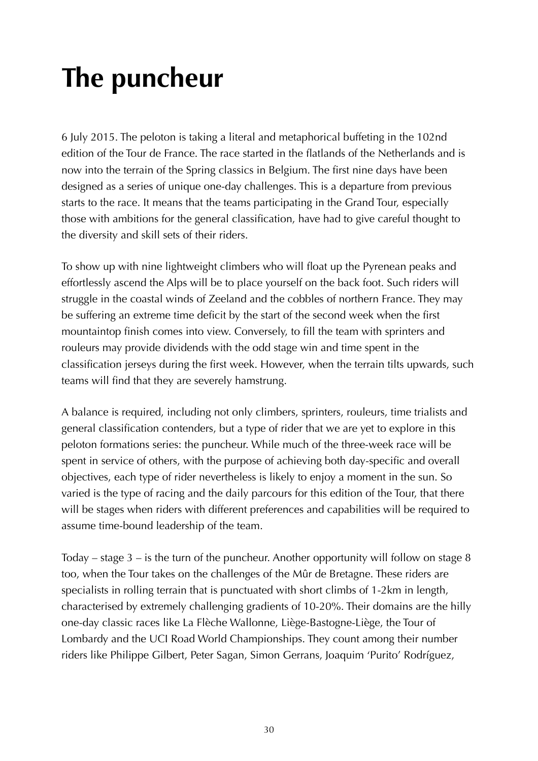# **The puncheur**

6 July 2015. The peloton is taking a literal and metaphorical buffeting in the 102nd edition of the Tour de France. The race started in the flatlands of the Netherlands and is now into the terrain of the Spring classics in Belgium. The first nine days have been designed as a series of unique one-day challenges. This is a departure from previous starts to the race. It means that the teams participating in the Grand Tour, especially those with ambitions for the general classification, have had to give careful thought to the diversity and skill sets of their riders.

To show up with nine lightweight climbers who will float up the Pyrenean peaks and effortlessly ascend the Alps will be to place yourself on the back foot. Such riders will struggle in the coastal winds of Zeeland and the cobbles of northern France. They may be suffering an extreme time deficit by the start of the second week when the first mountaintop finish comes into view. Conversely, to fill the team with sprinters and rouleurs may provide dividends with the odd stage win and time spent in the classification jerseys during the first week. However, when the terrain tilts upwards, such teams will find that they are severely hamstrung.

A balance is required, including not only climbers, sprinters, rouleurs, time trialists and general classification contenders, but a type of rider that we are yet to explore in this peloton formations series: the puncheur. While much of the three-week race will be spent in service of others, with the purpose of achieving both day-specific and overall objectives, each type of rider nevertheless is likely to enjoy a moment in the sun. So varied is the type of racing and the daily parcours for this edition of the Tour, that there will be stages when riders with different preferences and capabilities will be required to assume time-bound leadership of the team.

Today – stage 3 – is the turn of the puncheur. Another opportunity will follow on stage 8 too, when the Tour takes on the challenges of the Mûr de Bretagne. These riders are specialists in rolling terrain that is punctuated with short climbs of 1-2km in length, characterised by extremely challenging gradients of 10-20%. Their domains are the hilly one-day classic races like La Flèche Wallonne, Liège-Bastogne-Liège, the Tour of Lombardy and the UCI Road World Championships. They count among their number riders like Philippe Gilbert, Peter Sagan, Simon Gerrans, Joaquim 'Purito' Rodríguez,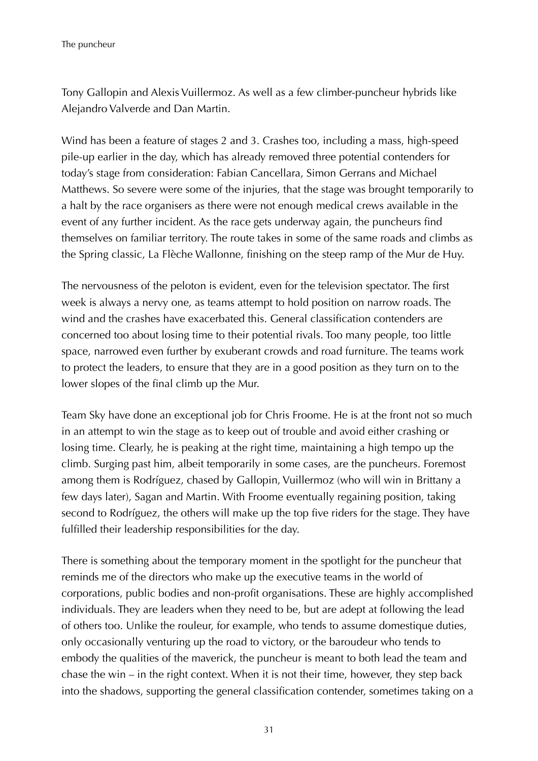Tony Gallopin and Alexis Vuillermoz. As well as a few climber-puncheur hybrids like Alejandro Valverde and Dan Martin.

Wind has been a feature of stages 2 and 3. Crashes too, including a mass, high-speed pile-up earlier in the day, which has already removed three potential contenders for today's stage from consideration: Fabian Cancellara, Simon Gerrans and Michael Matthews. So severe were some of the injuries, that the stage was brought temporarily to a halt by the race organisers as there were not enough medical crews available in the event of any further incident. As the race gets underway again, the puncheurs find themselves on familiar territory. The route takes in some of the same roads and climbs as the Spring classic, La Flèche Wallonne, finishing on the steep ramp of the Mur de Huy.

The nervousness of the peloton is evident, even for the television spectator. The first week is always a nervy one, as teams attempt to hold position on narrow roads. The wind and the crashes have exacerbated this. General classification contenders are concerned too about losing time to their potential rivals. Too many people, too little space, narrowed even further by exuberant crowds and road furniture. The teams work to protect the leaders, to ensure that they are in a good position as they turn on to the lower slopes of the final climb up the Mur.

Team Sky have done an exceptional job for Chris Froome. He is at the front not so much in an attempt to win the stage as to keep out of trouble and avoid either crashing or losing time. Clearly, he is peaking at the right time, maintaining a high tempo up the climb. Surging past him, albeit temporarily in some cases, are the puncheurs. Foremost among them is Rodríguez, chased by Gallopin, Vuillermoz (who will win in Brittany a few days later), Sagan and Martin. With Froome eventually regaining position, taking second to Rodríguez, the others will make up the top five riders for the stage. They have fulfilled their leadership responsibilities for the day.

There is something about the temporary moment in the spotlight for the puncheur that reminds me of the directors who make up the executive teams in the world of corporations, public bodies and non-profit organisations. These are highly accomplished individuals. They are leaders when they need to be, but are adept at following the lead of others too. Unlike the rouleur, for example, who tends to assume domestique duties, only occasionally venturing up the road to victory, or the baroudeur who tends to embody the qualities of the maverick, the puncheur is meant to both lead the team and chase the win – in the right context. When it is not their time, however, they step back into the shadows, supporting the general classification contender, sometimes taking on a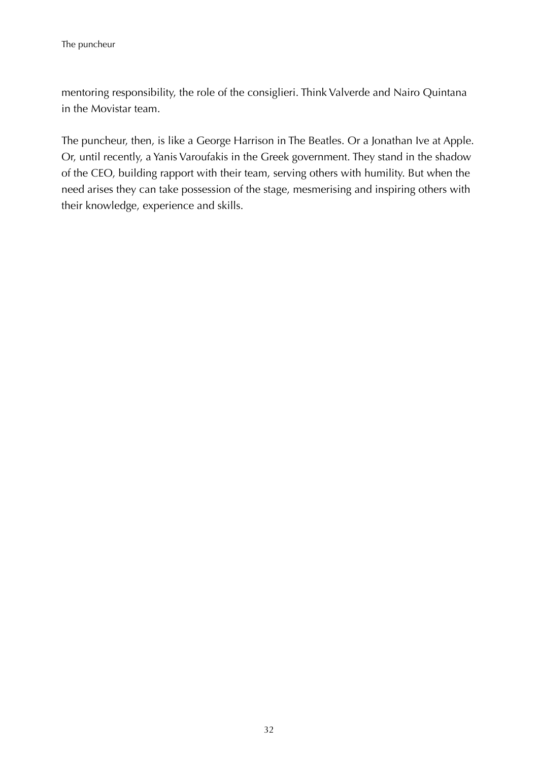mentoring responsibility, the role of the consiglieri. Think Valverde and Nairo Quintana in the Movistar team.

The puncheur, then, is like a George Harrison in The Beatles. Or a Jonathan Ive at Apple. Or, until recently, a Yanis Varoufakis in the Greek government. They stand in the shadow of the CEO, building rapport with their team, serving others with humility. But when the need arises they can take possession of the stage, mesmerising and inspiring others with their knowledge, experience and skills.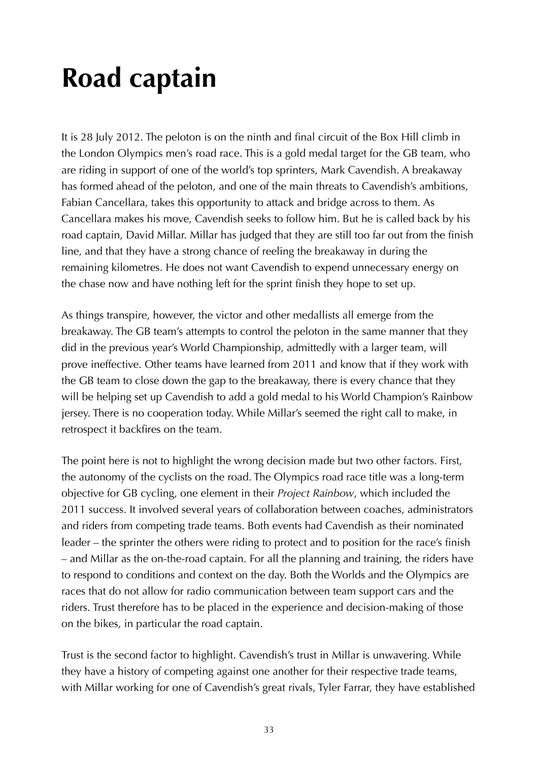# **Road captain**

It is 28 July 2012. The peloton is on the ninth and final circuit of the Box Hill climb in the London Olympics men's road race. This is a gold medal target for the GB team, who are riding in support of one of the world's top sprinters, Mark Cavendish. A breakaway has formed ahead of the peloton, and one of the main threats to Cavendish's ambitions, Fabian Cancellara, takes this opportunity to attack and bridge across to them. As Cancellara makes his move, Cavendish seeks to follow him. But he is called back by his road captain, David Millar. Millar has judged that they are still too far out from the finish line, and that they have a strong chance of reeling the breakaway in during the remaining kilometres. He does not want Cavendish to expend unnecessary energy on the chase now and have nothing left for the sprint finish they hope to set up.

As things transpire, however, the victor and other medallists all emerge from the breakaway. The GB team's attempts to control the peloton in the same manner that they did in the previous year's World Championship, admittedly with a larger team, will prove ineffective. Other teams have learned from 2011 and know that if they work with the GB team to close down the gap to the breakaway, there is every chance that they will be helping set up Cavendish to add a gold medal to his World Champion's Rainbow jersey. There is no cooperation today. While Millar's seemed the right call to make, in retrospect it backfires on the team.

The point here is not to highlight the wrong decision made but two other factors. First, the autonomy of the cyclists on the road. The Olympics road race title was a long-term objective for GB cycling, one element in their *Project Rainbow*, which included the 2011 success. It involved several years of collaboration between coaches, administrators and riders from competing trade teams. Both events had Cavendish as their nominated leader – the sprinter the others were riding to protect and to position for the race's finish – and Millar as the on-the-road captain. For all the planning and training, the riders have to respond to conditions and context on the day. Both the Worlds and the Olympics are races that do not allow for radio communication between team support cars and the riders. Trust therefore has to be placed in the experience and decision-making of those on the bikes, in particular the road captain.

Trust is the second factor to highlight. Cavendish's trust in Millar is unwavering. While they have a history of competing against one another for their respective trade teams, with Millar working for one of Cavendish's great rivals, Tyler Farrar, they have established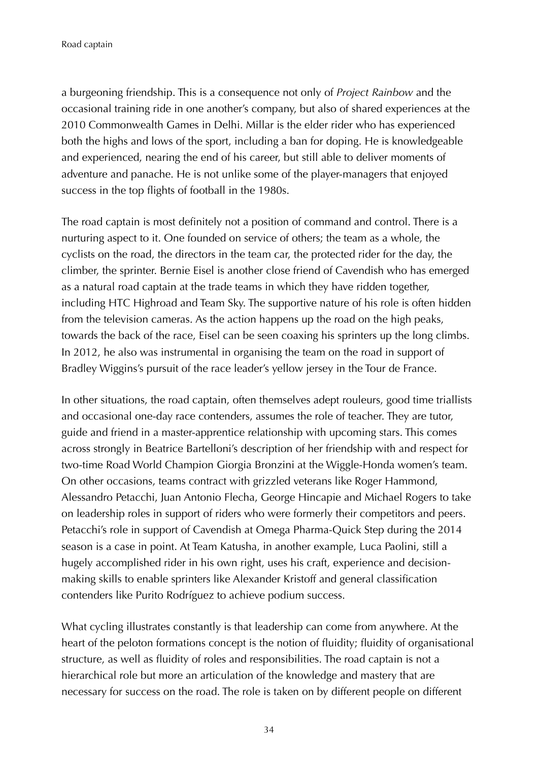Road captain

a burgeoning friendship. This is a consequence not only of *Project Rainbow* and the occasional training ride in one another's company, but also of shared experiences at the 2010 Commonwealth Games in Delhi. Millar is the elder rider who has experienced both the highs and lows of the sport, including a ban for doping. He is knowledgeable and experienced, nearing the end of his career, but still able to deliver moments of adventure and panache. He is not unlike some of the player-managers that enjoyed success in the top flights of football in the 1980s.

The road captain is most definitely not a position of command and control. There is a nurturing aspect to it. One founded on service of others; the team as a whole, the cyclists on the road, the directors in the team car, the protected rider for the day, the climber, the sprinter. Bernie Eisel is another close friend of Cavendish who has emerged as a natural road captain at the trade teams in which they have ridden together, including HTC Highroad and Team Sky. The supportive nature of his role is often hidden from the television cameras. As the action happens up the road on the high peaks, towards the back of the race, Eisel can be seen coaxing his sprinters up the long climbs. In 2012, he also was instrumental in organising the team on the road in support of Bradley Wiggins's pursuit of the race leader's yellow jersey in the Tour de France.

In other situations, the road captain, often themselves adept rouleurs, good time triallists and occasional one-day race contenders, assumes the role of teacher. They are tutor, guide and friend in a master-apprentice relationship with upcoming stars. This comes across strongly in Beatrice Bartelloni's description of her friendship with and respect for two-time Road World Champion Giorgia Bronzini at the Wiggle-Honda women's team. On other occasions, teams contract with grizzled veterans like Roger Hammond, Alessandro Petacchi, Juan Antonio Flecha, George Hincapie and Michael Rogers to take on leadership roles in support of riders who were formerly their competitors and peers. Petacchi's role in support of Cavendish at Omega Pharma-Quick Step during the 2014 season is a case in point. At Team Katusha, in another example, Luca Paolini, still a hugely accomplished rider in his own right, uses his craft, experience and decisionmaking skills to enable sprinters like Alexander Kristoff and general classification contenders like Purito Rodríguez to achieve podium success.

What cycling illustrates constantly is that leadership can come from anywhere. At the heart of the peloton formations concept is the notion of fluidity; fluidity of organisational structure, as well as fluidity of roles and responsibilities. The road captain is not a hierarchical role but more an articulation of the knowledge and mastery that are necessary for success on the road. The role is taken on by different people on different

34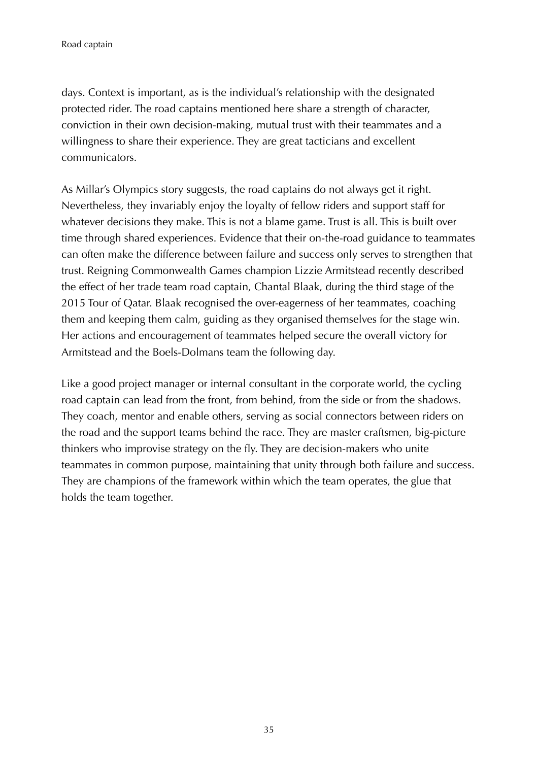days. Context is important, as is the individual's relationship with the designated protected rider. The road captains mentioned here share a strength of character, conviction in their own decision-making, mutual trust with their teammates and a willingness to share their experience. They are great tacticians and excellent communicators.

As Millar's Olympics story suggests, the road captains do not always get it right. Nevertheless, they invariably enjoy the loyalty of fellow riders and support staff for whatever decisions they make. This is not a blame game. Trust is all. This is built over time through shared experiences. Evidence that their on-the-road guidance to teammates can often make the difference between failure and success only serves to strengthen that trust. Reigning Commonwealth Games champion Lizzie Armitstead recently described the effect of her trade team road captain, Chantal Blaak, during the third stage of the 2015 Tour of Qatar. Blaak recognised the over-eagerness of her teammates, coaching them and keeping them calm, guiding as they organised themselves for the stage win. Her actions and encouragement of teammates helped secure the overall victory for Armitstead and the Boels-Dolmans team the following day.

Like a good project manager or internal consultant in the corporate world, the cycling road captain can lead from the front, from behind, from the side or from the shadows. They coach, mentor and enable others, serving as social connectors between riders on the road and the support teams behind the race. They are master craftsmen, big-picture thinkers who improvise strategy on the fly. They are decision-makers who unite teammates in common purpose, maintaining that unity through both failure and success. They are champions of the framework within which the team operates, the glue that holds the team together.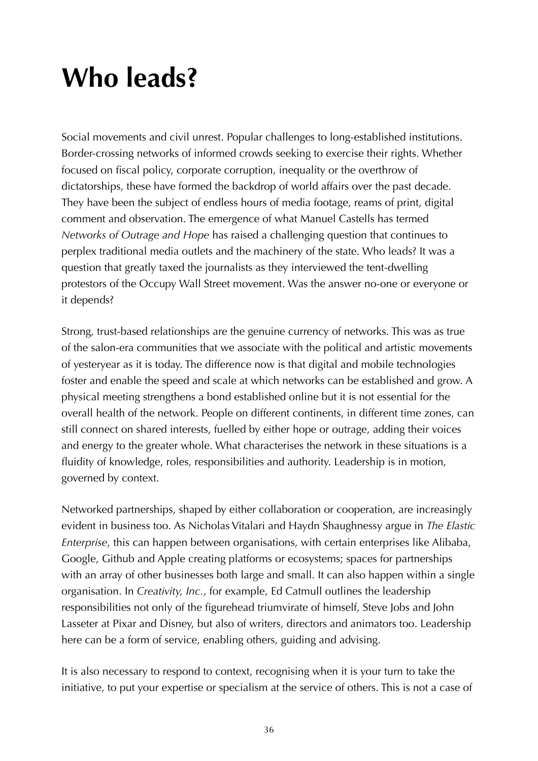# **Who leads?**

Social movements and civil unrest. Popular challenges to long-established institutions. Border-crossing networks of informed crowds seeking to exercise their rights. Whether focused on fiscal policy, corporate corruption, inequality or the overthrow of dictatorships, these have formed the backdrop of world affairs over the past decade. They have been the subject of endless hours of media footage, reams of print, digital comment and observation. The emergence of what Manuel Castells has termed *Networks of Outrage and Hope* has raised a challenging question that continues to perplex traditional media outlets and the machinery of the state. Who leads? It was a question that greatly taxed the journalists as they interviewed the tent-dwelling protestors of the Occupy Wall Street movement. Was the answer no-one or everyone or it depends?

Strong, trust-based relationships are the genuine currency of networks. This was as true of the salon-era communities that we associate with the political and artistic movements of yesteryear as it is today. The difference now is that digital and mobile technologies foster and enable the speed and scale at which networks can be established and grow. A physical meeting strengthens a bond established online but it is not essential for the overall health of the network. People on different continents, in different time zones, can still connect on shared interests, fuelled by either hope or outrage, adding their voices and energy to the greater whole. What characterises the network in these situations is a fluidity of knowledge, roles, responsibilities and authority. Leadership is in motion, governed by context.

Networked partnerships, shaped by either collaboration or cooperation, are increasingly evident in business too. As Nicholas Vitalari and Haydn Shaughnessy argue in *The Elastic Enterprise*, this can happen between organisations, with certain enterprises like Alibaba, Google, Github and Apple creating platforms or ecosystems; spaces for partnerships with an array of other businesses both large and small. It can also happen within a single organisation. In *Creativity, Inc.*, for example, Ed Catmull outlines the leadership responsibilities not only of the figurehead triumvirate of himself, Steve Jobs and John Lasseter at Pixar and Disney, but also of writers, directors and animators too. Leadership here can be a form of service, enabling others, guiding and advising.

It is also necessary to respond to context, recognising when it is your turn to take the initiative, to put your expertise or specialism at the service of others. This is not a case of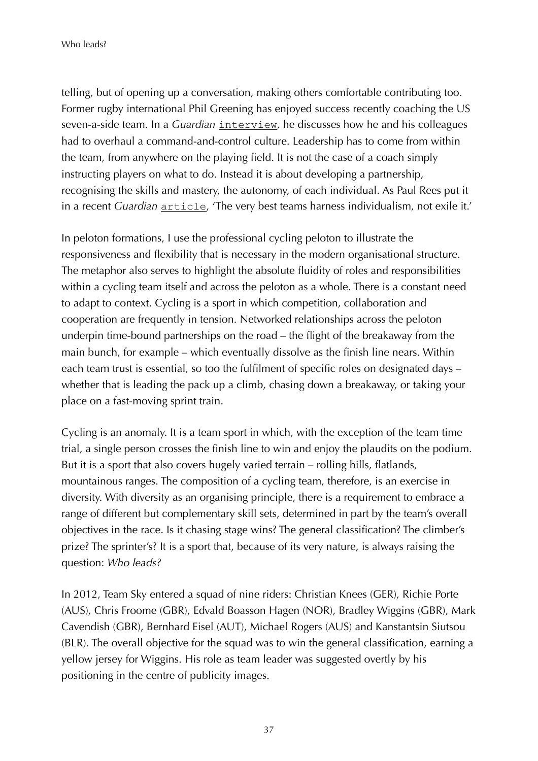telling, but of opening up a conversation, making others comfortable contributing too. Former rugby international Phil Greening has enjoyed success recently coaching the US seven-a-side team. In a *Guardian* [interview](https://www.theguardian.com/sport/blog/2015/jun/17/coach-phil-greening-us-rugby-sevens-olympics-rio), he discusses how he and his colleagues had to overhaul a command-and-control culture. Leadership has to come from within the team, from anywhere on the playing field. It is not the case of a coach simply instructing players on what to do. Instead it is about developing a partnership, recognising the skills and mastery, the autonomy, of each individual. As Paul Rees put it in a recent *Guardian* **[article](https://www.theguardian.com/sport/2015/jun/04/england-world-cup-bath-saracens-the-breakdown)**, 'The very best teams harness individualism, not exile it.'

In peloton formations, I use the professional cycling peloton to illustrate the responsiveness and flexibility that is necessary in the modern organisational structure. The metaphor also serves to highlight the absolute fluidity of roles and responsibilities within a cycling team itself and across the peloton as a whole. There is a constant need to adapt to context. Cycling is a sport in which competition, collaboration and cooperation are frequently in tension. Networked relationships across the peloton underpin time-bound partnerships on the road – the flight of the breakaway from the main bunch, for example – which eventually dissolve as the finish line nears. Within each team trust is essential, so too the fulfilment of specific roles on designated days – whether that is leading the pack up a climb, chasing down a breakaway, or taking your place on a fast-moving sprint train.

Cycling is an anomaly. It is a team sport in which, with the exception of the team time trial, a single person crosses the finish line to win and enjoy the plaudits on the podium. But it is a sport that also covers hugely varied terrain – rolling hills, flatlands, mountainous ranges. The composition of a cycling team, therefore, is an exercise in diversity. With diversity as an organising principle, there is a requirement to embrace a range of different but complementary skill sets, determined in part by the team's overall objectives in the race. Is it chasing stage wins? The general classification? The climber's prize? The sprinter's? It is a sport that, because of its very nature, is always raising the question: *Who leads?*

In 2012, Team Sky entered a squad of nine riders: Christian Knees (GER), Richie Porte (AUS), Chris Froome (GBR), Edvald Boasson Hagen (NOR), Bradley Wiggins (GBR), Mark Cavendish (GBR), Bernhard Eisel (AUT), Michael Rogers (AUS) and Kanstantsin Siutsou (BLR). The overall objective for the squad was to win the general classification, earning a yellow jersey for Wiggins. His role as team leader was suggested overtly by his positioning in the centre of publicity images.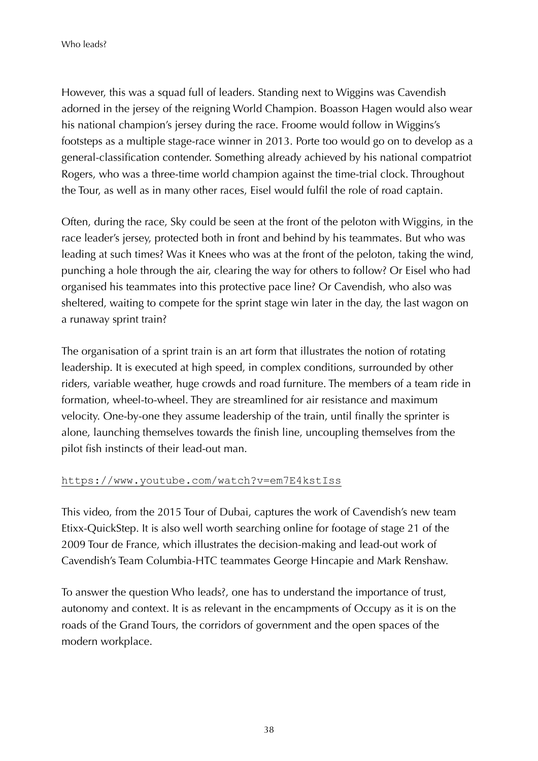However, this was a squad full of leaders. Standing next to Wiggins was Cavendish adorned in the jersey of the reigning World Champion. Boasson Hagen would also wear his national champion's jersey during the race. Froome would follow in Wiggins's footsteps as a multiple stage-race winner in 2013. Porte too would go on to develop as a general-classification contender. Something already achieved by his national compatriot Rogers, who was a three-time world champion against the time-trial clock. Throughout the Tour, as well as in many other races, Eisel would fulfil the role of road captain.

Often, during the race, Sky could be seen at the front of the peloton with Wiggins, in the race leader's jersey, protected both in front and behind by his teammates. But who was leading at such times? Was it Knees who was at the front of the peloton, taking the wind, punching a hole through the air, clearing the way for others to follow? Or Eisel who had organised his teammates into this protective pace line? Or Cavendish, who also was sheltered, waiting to compete for the sprint stage win later in the day, the last wagon on a runaway sprint train?

The organisation of a sprint train is an art form that illustrates the notion of rotating leadership. It is executed at high speed, in complex conditions, surrounded by other riders, variable weather, huge crowds and road furniture. The members of a team ride in formation, wheel-to-wheel. They are streamlined for air resistance and maximum velocity. One-by-one they assume leadership of the train, until finally the sprinter is alone, launching themselves towards the finish line, uncoupling themselves from the pilot fish instincts of their lead-out man.

#### <https://www.youtube.com/watch?v=em7E4kstIss>

This video, from the 2015 Tour of Dubai, captures the work of Cavendish's new team Etixx-QuickStep. It is also well worth searching online for footage of stage 21 of the 2009 Tour de France, which illustrates the decision-making and lead-out work of Cavendish's Team Columbia-HTC teammates George Hincapie and Mark Renshaw.

To answer the question Who leads?, one has to understand the importance of trust, autonomy and context. It is as relevant in the encampments of Occupy as it is on the roads of the Grand Tours, the corridors of government and the open spaces of the modern workplace.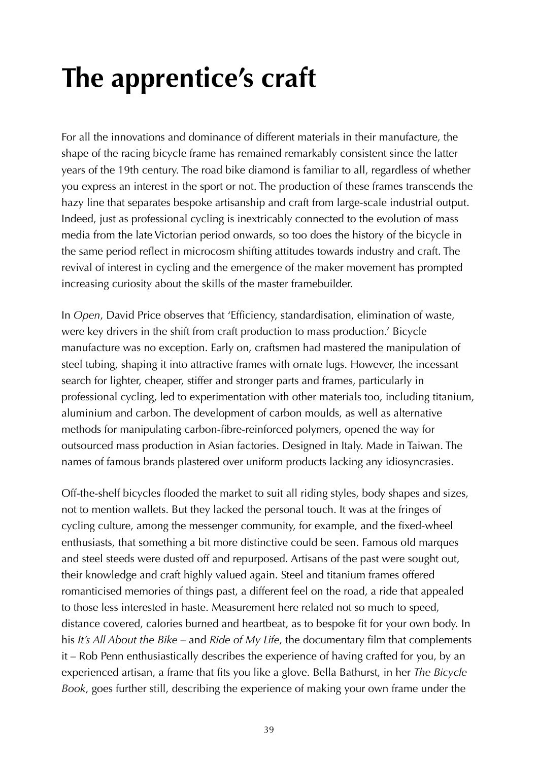# **The apprentice's craft**

For all the innovations and dominance of different materials in their manufacture, the shape of the racing bicycle frame has remained remarkably consistent since the latter years of the 19th century. The road bike diamond is familiar to all, regardless of whether you express an interest in the sport or not. The production of these frames transcends the hazy line that separates bespoke artisanship and craft from large-scale industrial output. Indeed, just as professional cycling is inextricably connected to the evolution of mass media from the late Victorian period onwards, so too does the history of the bicycle in the same period reflect in microcosm shifting attitudes towards industry and craft. The revival of interest in cycling and the emergence of the maker movement has prompted increasing curiosity about the skills of the master framebuilder.

In *Open*, David Price observes that 'Efficiency, standardisation, elimination of waste, were key drivers in the shift from craft production to mass production.' Bicycle manufacture was no exception. Early on, craftsmen had mastered the manipulation of steel tubing, shaping it into attractive frames with ornate lugs. However, the incessant search for lighter, cheaper, stiffer and stronger parts and frames, particularly in professional cycling, led to experimentation with other materials too, including titanium, aluminium and carbon. The development of carbon moulds, as well as alternative methods for manipulating carbon-fibre-reinforced polymers, opened the way for outsourced mass production in Asian factories. Designed in Italy. Made in Taiwan. The names of famous brands plastered over uniform products lacking any idiosyncrasies.

Off-the-shelf bicycles flooded the market to suit all riding styles, body shapes and sizes, not to mention wallets. But they lacked the personal touch. It was at the fringes of cycling culture, among the messenger community, for example, and the fixed-wheel enthusiasts, that something a bit more distinctive could be seen. Famous old marques and steel steeds were dusted off and repurposed. Artisans of the past were sought out, their knowledge and craft highly valued again. Steel and titanium frames offered romanticised memories of things past, a different feel on the road, a ride that appealed to those less interested in haste. Measurement here related not so much to speed, distance covered, calories burned and heartbeat, as to bespoke fit for your own body. In his *It's All About the Bike* – and *Ride of My Life*, the documentary film that complements it – Rob Penn enthusiastically describes the experience of having crafted for you, by an experienced artisan, a frame that fits you like a glove. Bella Bathurst, in her *The Bicycle Book*, goes further still, describing the experience of making your own frame under the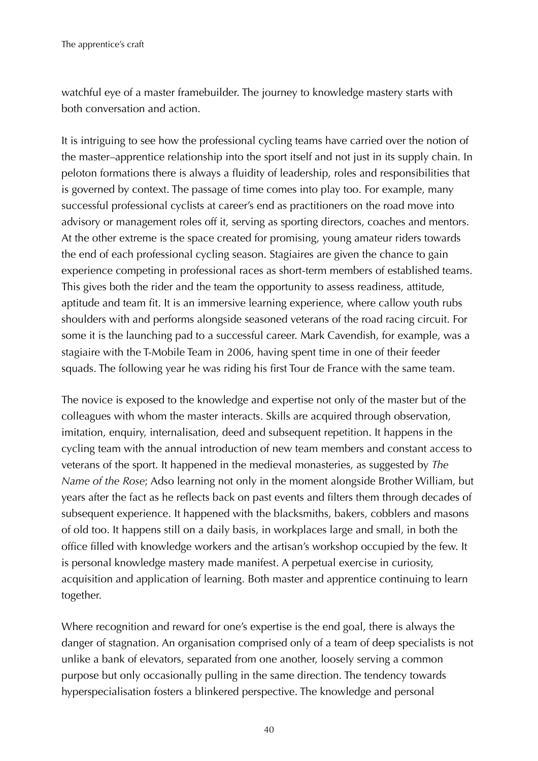watchful eye of a master framebuilder. The journey to knowledge mastery starts with both conversation and action.

It is intriguing to see how the professional cycling teams have carried over the notion of the master–apprentice relationship into the sport itself and not just in its supply chain. In peloton formations there is always a fluidity of leadership, roles and responsibilities that is governed by context. The passage of time comes into play too. For example, many successful professional cyclists at career's end as practitioners on the road move into advisory or management roles off it, serving as sporting directors, coaches and mentors. At the other extreme is the space created for promising, young amateur riders towards the end of each professional cycling season. Stagiaires are given the chance to gain experience competing in professional races as short-term members of established teams. This gives both the rider and the team the opportunity to assess readiness, attitude, aptitude and team fit. It is an immersive learning experience, where callow youth rubs shoulders with and performs alongside seasoned veterans of the road racing circuit. For some it is the launching pad to a successful career. Mark Cavendish, for example, was a stagiaire with the T-Mobile Team in 2006, having spent time in one of their feeder squads. The following year he was riding his first Tour de France with the same team.

The novice is exposed to the knowledge and expertise not only of the master but of the colleagues with whom the master interacts. Skills are acquired through observation, imitation, enquiry, internalisation, deed and subsequent repetition. It happens in the cycling team with the annual introduction of new team members and constant access to veterans of the sport. It happened in the medieval monasteries, as suggested by *The Name of the Rose*; Adso learning not only in the moment alongside Brother William, but years after the fact as he reflects back on past events and filters them through decades of subsequent experience. It happened with the blacksmiths, bakers, cobblers and masons of old too. It happens still on a daily basis, in workplaces large and small, in both the office filled with knowledge workers and the artisan's workshop occupied by the few. It is personal knowledge mastery made manifest. A perpetual exercise in curiosity, acquisition and application of learning. Both master and apprentice continuing to learn together.

Where recognition and reward for one's expertise is the end goal, there is always the danger of stagnation. An organisation comprised only of a team of deep specialists is not unlike a bank of elevators, separated from one another, loosely serving a common purpose but only occasionally pulling in the same direction. The tendency towards hyperspecialisation fosters a blinkered perspective. The knowledge and personal

40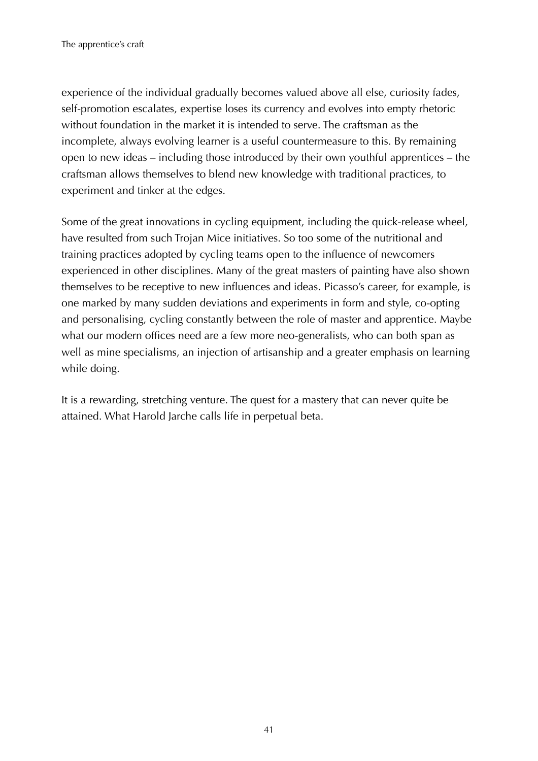experience of the individual gradually becomes valued above all else, curiosity fades, self-promotion escalates, expertise loses its currency and evolves into empty rhetoric without foundation in the market it is intended to serve. The craftsman as the incomplete, always evolving learner is a useful countermeasure to this. By remaining open to new ideas – including those introduced by their own youthful apprentices – the craftsman allows themselves to blend new knowledge with traditional practices, to experiment and tinker at the edges.

Some of the great innovations in cycling equipment, including the quick-release wheel, have resulted from such Trojan Mice initiatives. So too some of the nutritional and training practices adopted by cycling teams open to the influence of newcomers experienced in other disciplines. Many of the great masters of painting have also shown themselves to be receptive to new influences and ideas. Picasso's career, for example, is one marked by many sudden deviations and experiments in form and style, co-opting and personalising, cycling constantly between the role of master and apprentice. Maybe what our modern offices need are a few more neo-generalists, who can both span as well as mine specialisms, an injection of artisanship and a greater emphasis on learning while doing.

It is a rewarding, stretching venture. The quest for a mastery that can never quite be attained. What Harold Jarche calls life in perpetual beta.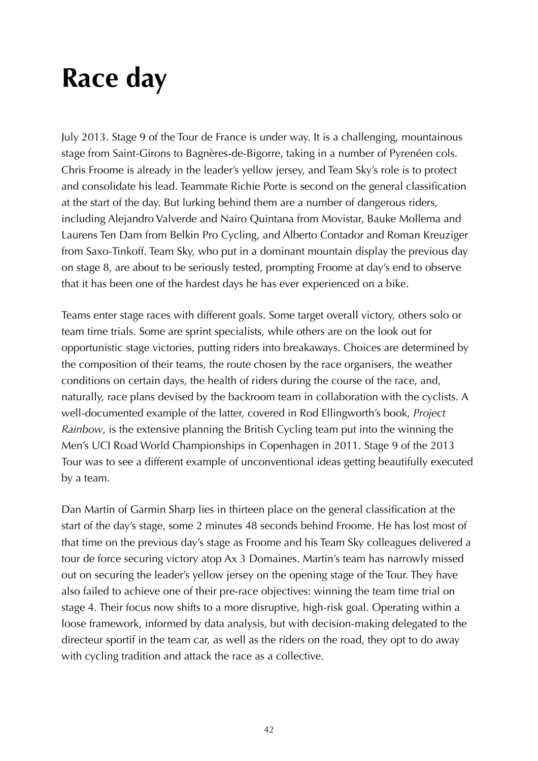### **Race day**

July 2013. Stage 9 of the Tour de France is under way. It is a challenging, mountainous stage from Saint-Girons to Bagnères-de-Bigorre, taking in a number of Pyrenéen cols. Chris Froome is already in the leader's yellow jersey, and Team Sky's role is to protect and consolidate his lead. Teammate Richie Porte is second on the general classification at the start of the day. But lurking behind them are a number of dangerous riders, including Alejandro Valverde and Nairo Quintana from Movistar, Bauke Mollema and Laurens Ten Dam from Belkin Pro Cycling, and Alberto Contador and Roman Kreuziger from Saxo-Tinkoff. Team Sky, who put in a dominant mountain display the previous day on stage 8, are about to be seriously tested, prompting Froome at day's end to observe that it has been one of the hardest days he has ever experienced on a bike.

Teams enter stage races with different goals. Some target overall victory, others solo or team time trials. Some are sprint specialists, while others are on the look out for opportunistic stage victories, putting riders into breakaways. Choices are determined by the composition of their teams, the route chosen by the race organisers, the weather conditions on certain days, the health of riders during the course of the race, and, naturally, race plans devised by the backroom team in collaboration with the cyclists. A well-documented example of the latter, covered in Rod Ellingworth's book, *Project Rainbow*, is the extensive planning the British Cycling team put into the winning the Men's UCI Road World Championships in Copenhagen in 2011. Stage 9 of the 2013 Tour was to see a different example of unconventional ideas getting beautifully executed by a team.

Dan Martin of Garmin Sharp lies in thirteen place on the general classification at the start of the day's stage, some 2 minutes 48 seconds behind Froome. He has lost most of that time on the previous day's stage as Froome and his Team Sky colleagues delivered a tour de force securing victory atop Ax 3 Domaines. Martin's team has narrowly missed out on securing the leader's yellow jersey on the opening stage of the Tour. They have also failed to achieve one of their pre-race objectives: winning the team time trial on stage 4. Their focus now shifts to a more disruptive, high-risk goal. Operating within a loose framework, informed by data analysis, but with decision-making delegated to the directeur sportif in the team car, as well as the riders on the road, they opt to do away with cycling tradition and attack the race as a collective.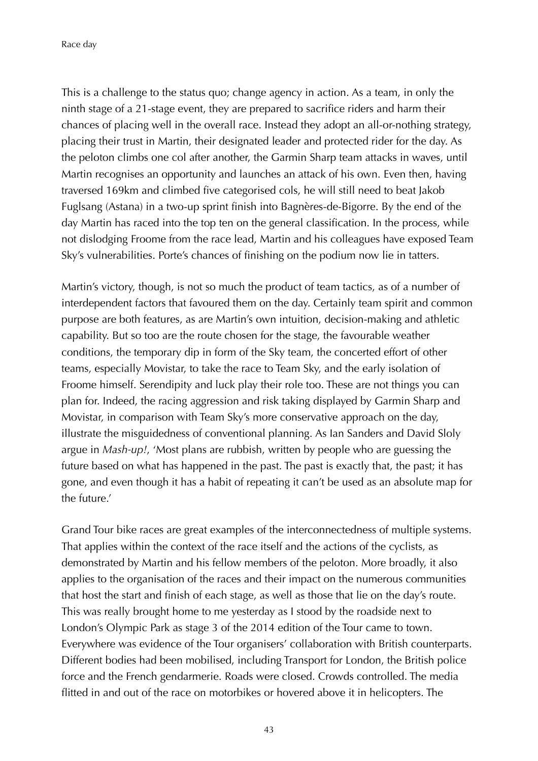Race day

This is a challenge to the status quo; change agency in action. As a team, in only the ninth stage of a 21-stage event, they are prepared to sacrifice riders and harm their chances of placing well in the overall race. Instead they adopt an all-or-nothing strategy, placing their trust in Martin, their designated leader and protected rider for the day. As the peloton climbs one col after another, the Garmin Sharp team attacks in waves, until Martin recognises an opportunity and launches an attack of his own. Even then, having traversed 169km and climbed five categorised cols, he will still need to beat Jakob Fuglsang (Astana) in a two-up sprint finish into Bagnères-de-Bigorre. By the end of the day Martin has raced into the top ten on the general classification. In the process, while not dislodging Froome from the race lead, Martin and his colleagues have exposed Team Sky's vulnerabilities. Porte's chances of finishing on the podium now lie in tatters.

Martin's victory, though, is not so much the product of team tactics, as of a number of interdependent factors that favoured them on the day. Certainly team spirit and common purpose are both features, as are Martin's own intuition, decision-making and athletic capability. But so too are the route chosen for the stage, the favourable weather conditions, the temporary dip in form of the Sky team, the concerted effort of other teams, especially Movistar, to take the race to Team Sky, and the early isolation of Froome himself. Serendipity and luck play their role too. These are not things you can plan for. Indeed, the racing aggression and risk taking displayed by Garmin Sharp and Movistar, in comparison with Team Sky's more conservative approach on the day, illustrate the misguidedness of conventional planning. As Ian Sanders and David Sloly argue in *Mash-up!*, 'Most plans are rubbish, written by people who are guessing the future based on what has happened in the past. The past is exactly that, the past; it has gone, and even though it has a habit of repeating it can't be used as an absolute map for the future.'

Grand Tour bike races are great examples of the interconnectedness of multiple systems. That applies within the context of the race itself and the actions of the cyclists, as demonstrated by Martin and his fellow members of the peloton. More broadly, it also applies to the organisation of the races and their impact on the numerous communities that host the start and finish of each stage, as well as those that lie on the day's route. This was really brought home to me yesterday as I stood by the roadside next to London's Olympic Park as stage 3 of the 2014 edition of the Tour came to town. Everywhere was evidence of the Tour organisers' collaboration with British counterparts. Different bodies had been mobilised, including Transport for London, the British police force and the French gendarmerie. Roads were closed. Crowds controlled. The media flitted in and out of the race on motorbikes or hovered above it in helicopters. The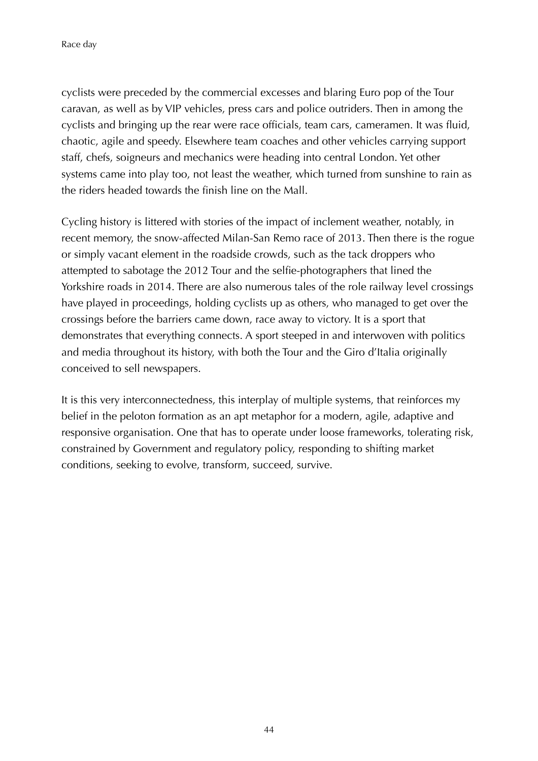Race day

cyclists were preceded by the commercial excesses and blaring Euro pop of the Tour caravan, as well as by VIP vehicles, press cars and police outriders. Then in among the cyclists and bringing up the rear were race officials, team cars, cameramen. It was fluid, chaotic, agile and speedy. Elsewhere team coaches and other vehicles carrying support staff, chefs, soigneurs and mechanics were heading into central London. Yet other systems came into play too, not least the weather, which turned from sunshine to rain as the riders headed towards the finish line on the Mall.

Cycling history is littered with stories of the impact of inclement weather, notably, in recent memory, the snow-affected Milan-San Remo race of 2013. Then there is the rogue or simply vacant element in the roadside crowds, such as the tack droppers who attempted to sabotage the 2012 Tour and the selfie-photographers that lined the Yorkshire roads in 2014. There are also numerous tales of the role railway level crossings have played in proceedings, holding cyclists up as others, who managed to get over the crossings before the barriers came down, race away to victory. It is a sport that demonstrates that everything connects. A sport steeped in and interwoven with politics and media throughout its history, with both the Tour and the Giro d'Italia originally conceived to sell newspapers.

It is this very interconnectedness, this interplay of multiple systems, that reinforces my belief in the peloton formation as an apt metaphor for a modern, agile, adaptive and responsive organisation. One that has to operate under loose frameworks, tolerating risk, constrained by Government and regulatory policy, responding to shifting market conditions, seeking to evolve, transform, succeed, survive.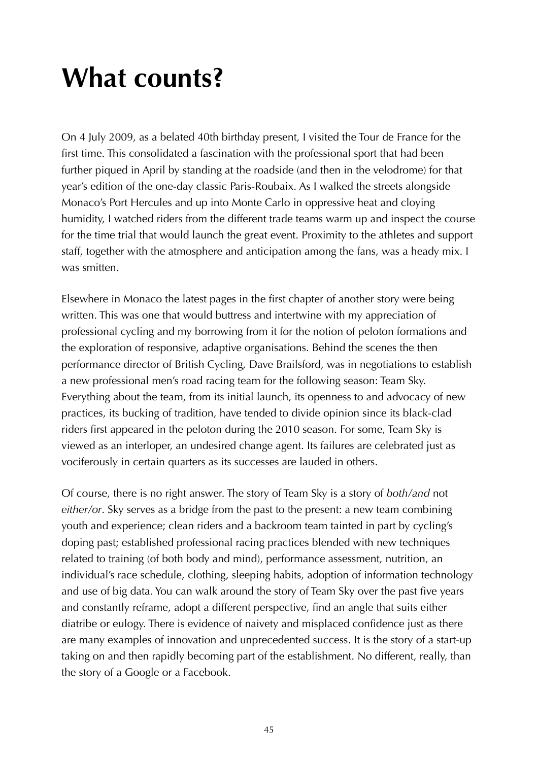### **What counts?**

On 4 July 2009, as a belated 40th birthday present, I visited the Tour de France for the first time. This consolidated a fascination with the professional sport that had been further piqued in April by standing at the roadside (and then in the velodrome) for that year's edition of the one-day classic Paris-Roubaix. As I walked the streets alongside Monaco's Port Hercules and up into Monte Carlo in oppressive heat and cloying humidity, I watched riders from the different trade teams warm up and inspect the course for the time trial that would launch the great event. Proximity to the athletes and support staff, together with the atmosphere and anticipation among the fans, was a heady mix. I was smitten.

Elsewhere in Monaco the latest pages in the first chapter of another story were being written. This was one that would buttress and intertwine with my appreciation of professional cycling and my borrowing from it for the notion of peloton formations and the exploration of responsive, adaptive organisations. Behind the scenes the then performance director of British Cycling, Dave Brailsford, was in negotiations to establish a new professional men's road racing team for the following season: Team Sky. Everything about the team, from its initial launch, its openness to and advocacy of new practices, its bucking of tradition, have tended to divide opinion since its black-clad riders first appeared in the peloton during the 2010 season. For some, Team Sky is viewed as an interloper, an undesired change agent. Its failures are celebrated just as vociferously in certain quarters as its successes are lauded in others.

Of course, there is no right answer. The story of Team Sky is a story of *both/and* not *either/or*. Sky serves as a bridge from the past to the present: a new team combining youth and experience; clean riders and a backroom team tainted in part by cycling's doping past; established professional racing practices blended with new techniques related to training (of both body and mind), performance assessment, nutrition, an individual's race schedule, clothing, sleeping habits, adoption of information technology and use of big data. You can walk around the story of Team Sky over the past five years and constantly reframe, adopt a different perspective, find an angle that suits either diatribe or eulogy. There is evidence of naivety and misplaced confidence just as there are many examples of innovation and unprecedented success. It is the story of a start-up taking on and then rapidly becoming part of the establishment. No different, really, than the story of a Google or a Facebook.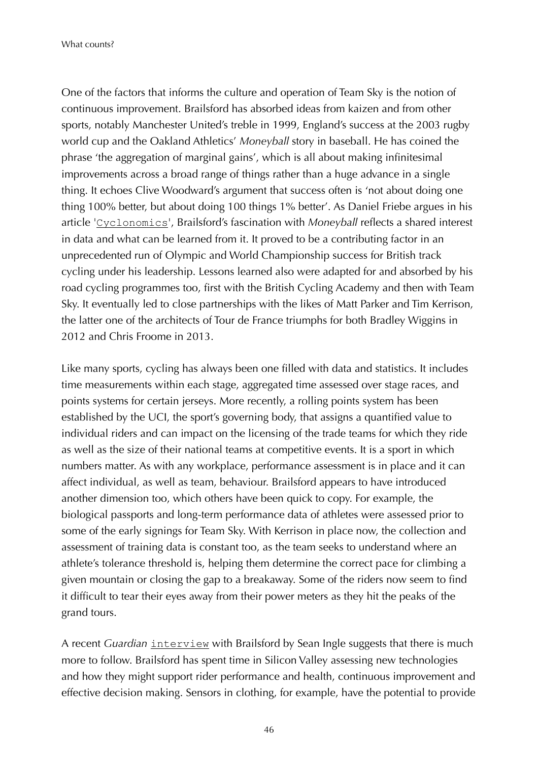What counts?

One of the factors that informs the culture and operation of Team Sky is the notion of continuous improvement. Brailsford has absorbed ideas from kaizen and from other sports, notably Manchester United's treble in 1999, England's success at the 2003 rugby world cup and the Oakland Athletics' *Moneyball* story in baseball. He has coined the phrase 'the aggregation of marginal gains', which is all about making infinitesimal improvements across a broad range of things rather than a huge advance in a single thing. It echoes Clive Woodward's argument that success often is 'not about doing one thing 100% better, but about doing 100 things 1% better'. As Daniel Friebe argues in his article '[Cyclonomics](https://www.penguin.co.uk/books/109/1097465/the-cycling-anthology/9780224092449.html)', Brailsford's fascination with *Moneyball* reflects a shared interest in data and what can be learned from it. It proved to be a contributing factor in an unprecedented run of Olympic and World Championship success for British track cycling under his leadership. Lessons learned also were adapted for and absorbed by his road cycling programmes too, first with the British Cycling Academy and then with Team Sky. It eventually led to close partnerships with the likes of Matt Parker and Tim Kerrison, the latter one of the architects of Tour de France triumphs for both Bradley Wiggins in 2012 and Chris Froome in 2013.

Like many sports, cycling has always been one filled with data and statistics. It includes time measurements within each stage, aggregated time assessed over stage races, and points systems for certain jerseys. More recently, a rolling points system has been established by the UCI, the sport's governing body, that assigns a quantified value to individual riders and can impact on the licensing of the trade teams for which they ride as well as the size of their national teams at competitive events. It is a sport in which numbers matter. As with any workplace, performance assessment is in place and it can affect individual, as well as team, behaviour. Brailsford appears to have introduced another dimension too, which others have been quick to copy. For example, the biological passports and long-term performance data of athletes were assessed prior to some of the early signings for Team Sky. With Kerrison in place now, the collection and assessment of training data is constant too, as the team seeks to understand where an athlete's tolerance threshold is, helping them determine the correct pace for climbing a given mountain or closing the gap to a breakaway. Some of the riders now seem to find it difficult to tear their eyes away from their power meters as they hit the peaks of the grand tours.

A recent *Guardian* [interview](https://www.theguardian.com/sport/2015/mar/06/team-sky-dave-brailsford-cycling-new-technology) with Brailsford by Sean Ingle suggests that there is much more to follow. Brailsford has spent time in Silicon Valley assessing new technologies and how they might support rider performance and health, continuous improvement and effective decision making. Sensors in clothing, for example, have the potential to provide

46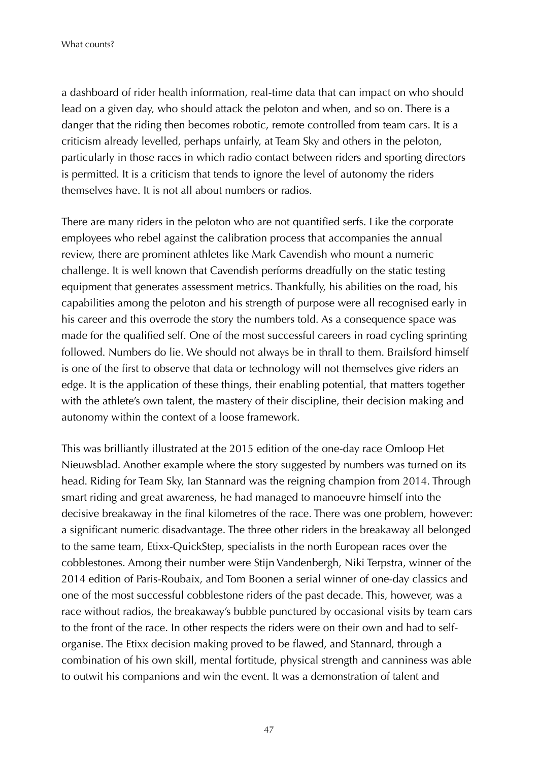a dashboard of rider health information, real-time data that can impact on who should lead on a given day, who should attack the peloton and when, and so on. There is a danger that the riding then becomes robotic, remote controlled from team cars. It is a criticism already levelled, perhaps unfairly, at Team Sky and others in the peloton, particularly in those races in which radio contact between riders and sporting directors is permitted. It is a criticism that tends to ignore the level of autonomy the riders themselves have. It is not all about numbers or radios.

There are many riders in the peloton who are not quantified serfs. Like the corporate employees who rebel against the calibration process that accompanies the annual review, there are prominent athletes like Mark Cavendish who mount a numeric challenge. It is well known that Cavendish performs dreadfully on the static testing equipment that generates assessment metrics. Thankfully, his abilities on the road, his capabilities among the peloton and his strength of purpose were all recognised early in his career and this overrode the story the numbers told. As a consequence space was made for the qualified self. One of the most successful careers in road cycling sprinting followed. Numbers do lie. We should not always be in thrall to them. Brailsford himself is one of the first to observe that data or technology will not themselves give riders an edge. It is the application of these things, their enabling potential, that matters together with the athlete's own talent, the mastery of their discipline, their decision making and autonomy within the context of a loose framework.

This was brilliantly illustrated at the 2015 edition of the one-day race Omloop Het Nieuwsblad. Another example where the story suggested by numbers was turned on its head. Riding for Team Sky, Ian Stannard was the reigning champion from 2014. Through smart riding and great awareness, he had managed to manoeuvre himself into the decisive breakaway in the final kilometres of the race. There was one problem, however: a significant numeric disadvantage. The three other riders in the breakaway all belonged to the same team, Etixx-QuickStep, specialists in the north European races over the cobblestones. Among their number were Stijn Vandenbergh, Niki Terpstra, winner of the 2014 edition of Paris-Roubaix, and Tom Boonen a serial winner of one-day classics and one of the most successful cobblestone riders of the past decade. This, however, was a race without radios, the breakaway's bubble punctured by occasional visits by team cars to the front of the race. In other respects the riders were on their own and had to selforganise. The Etixx decision making proved to be flawed, and Stannard, through a combination of his own skill, mental fortitude, physical strength and canniness was able to outwit his companions and win the event. It was a demonstration of talent and

47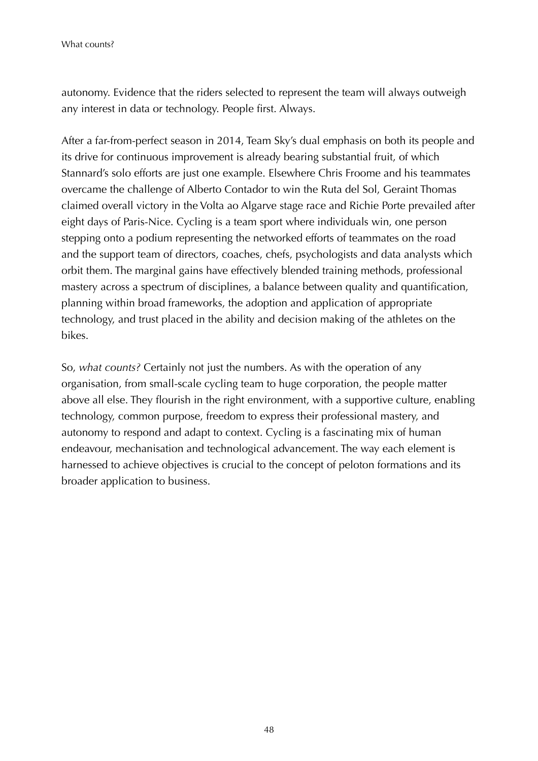What counts?

autonomy. Evidence that the riders selected to represent the team will always outweigh any interest in data or technology. People first. Always.

After a far-from-perfect season in 2014, Team Sky's dual emphasis on both its people and its drive for continuous improvement is already bearing substantial fruit, of which Stannard's solo efforts are just one example. Elsewhere Chris Froome and his teammates overcame the challenge of Alberto Contador to win the Ruta del Sol, Geraint Thomas claimed overall victory in the Volta ao Algarve stage race and Richie Porte prevailed after eight days of Paris-Nice. Cycling is a team sport where individuals win, one person stepping onto a podium representing the networked efforts of teammates on the road and the support team of directors, coaches, chefs, psychologists and data analysts which orbit them. The marginal gains have effectively blended training methods, professional mastery across a spectrum of disciplines, a balance between quality and quantification, planning within broad frameworks, the adoption and application of appropriate technology, and trust placed in the ability and decision making of the athletes on the bikes.

So, *what counts?* Certainly not just the numbers. As with the operation of any organisation, from small-scale cycling team to huge corporation, the people matter above all else. They flourish in the right environment, with a supportive culture, enabling technology, common purpose, freedom to express their professional mastery, and autonomy to respond and adapt to context. Cycling is a fascinating mix of human endeavour, mechanisation and technological advancement. The way each element is harnessed to achieve objectives is crucial to the concept of peloton formations and its broader application to business.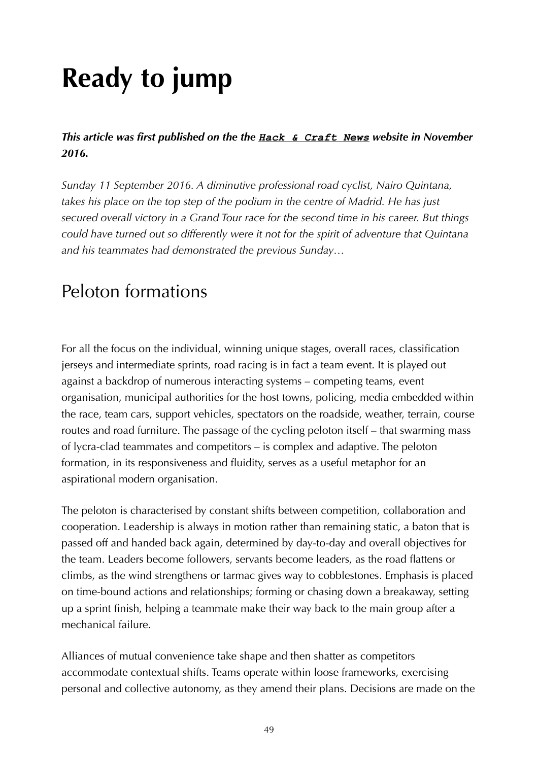# **Ready to jump**

*This article was first published on the the [Hack & Craft News](https://hackandcraft.com/insights/articles/ready-jump-agile-teams-autonomy-peleton) website in November 2016.*

*Sunday 11 September 2016. A diminutive professional road cyclist, Nairo Quintana, takes his place on the top step of the podium in the centre of Madrid. He has just secured overall victory in a Grand Tour race for the second time in his career. But things could have turned out so differently were it not for the spirit of adventure that Quintana and his teammates had demonstrated the previous Sunday…*

#### Peloton formations

For all the focus on the individual, winning unique stages, overall races, classification jerseys and intermediate sprints, road racing is in fact a team event. It is played out against a backdrop of numerous interacting systems – competing teams, event organisation, municipal authorities for the host towns, policing, media embedded within the race, team cars, support vehicles, spectators on the roadside, weather, terrain, course routes and road furniture. The passage of the cycling peloton itself – that swarming mass of lycra-clad teammates and competitors – is complex and adaptive. The peloton formation, in its responsiveness and fluidity, serves as a useful metaphor for an aspirational modern organisation.

The peloton is characterised by constant shifts between competition, collaboration and cooperation. Leadership is always in motion rather than remaining static, a baton that is passed off and handed back again, determined by day-to-day and overall objectives for the team. Leaders become followers, servants become leaders, as the road flattens or climbs, as the wind strengthens or tarmac gives way to cobblestones. Emphasis is placed on time-bound actions and relationships; forming or chasing down a breakaway, setting up a sprint finish, helping a teammate make their way back to the main group after a mechanical failure.

Alliances of mutual convenience take shape and then shatter as competitors accommodate contextual shifts. Teams operate within loose frameworks, exercising personal and collective autonomy, as they amend their plans. Decisions are made on the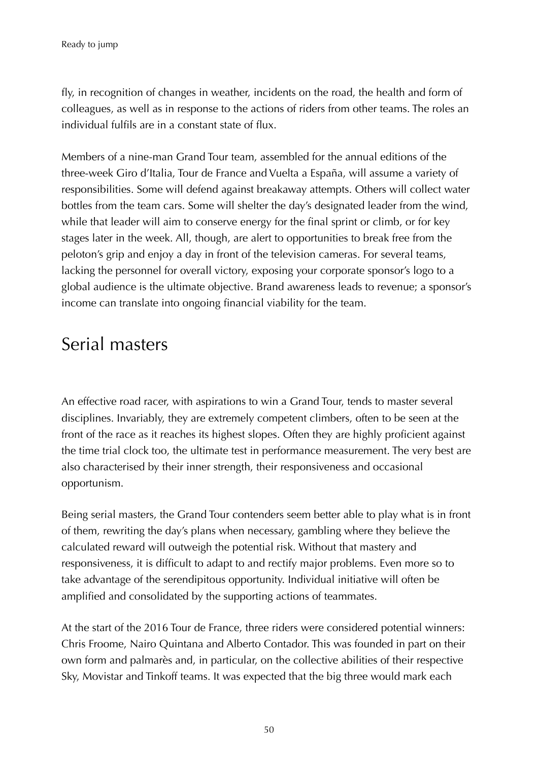fly, in recognition of changes in weather, incidents on the road, the health and form of colleagues, as well as in response to the actions of riders from other teams. The roles an individual fulfils are in a constant state of flux.

Members of a nine-man Grand Tour team, assembled for the annual editions of the three-week Giro d'Italia, Tour de France and Vuelta a España, will assume a variety of responsibilities. Some will defend against breakaway attempts. Others will collect water bottles from the team cars. Some will shelter the day's designated leader from the wind, while that leader will aim to conserve energy for the final sprint or climb, or for key stages later in the week. All, though, are alert to opportunities to break free from the peloton's grip and enjoy a day in front of the television cameras. For several teams, lacking the personnel for overall victory, exposing your corporate sponsor's logo to a global audience is the ultimate objective. Brand awareness leads to revenue; a sponsor's income can translate into ongoing financial viability for the team.

#### Serial masters

An effective road racer, with aspirations to win a Grand Tour, tends to master several disciplines. Invariably, they are extremely competent climbers, often to be seen at the front of the race as it reaches its highest slopes. Often they are highly proficient against the time trial clock too, the ultimate test in performance measurement. The very best are also characterised by their inner strength, their responsiveness and occasional opportunism.

Being serial masters, the Grand Tour contenders seem better able to play what is in front of them, rewriting the day's plans when necessary, gambling where they believe the calculated reward will outweigh the potential risk. Without that mastery and responsiveness, it is difficult to adapt to and rectify major problems. Even more so to take advantage of the serendipitous opportunity. Individual initiative will often be amplified and consolidated by the supporting actions of teammates.

At the start of the 2016 Tour de France, three riders were considered potential winners: Chris Froome, Nairo Quintana and Alberto Contador. This was founded in part on their own form and palmarès and, in particular, on the collective abilities of their respective Sky, Movistar and Tinkoff teams. It was expected that the big three would mark each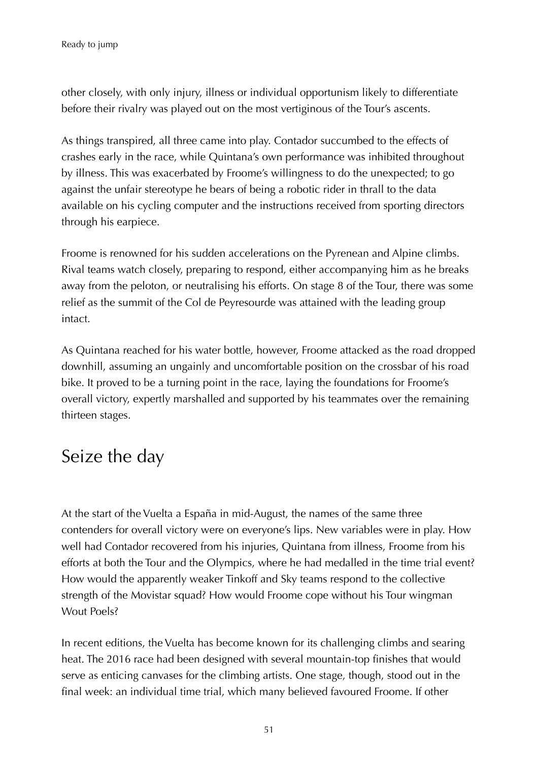other closely, with only injury, illness or individual opportunism likely to differentiate before their rivalry was played out on the most vertiginous of the Tour's ascents.

As things transpired, all three came into play. Contador succumbed to the effects of crashes early in the race, while Quintana's own performance was inhibited throughout by illness. This was exacerbated by Froome's willingness to do the unexpected; to go against the unfair stereotype he bears of being a robotic rider in thrall to the data available on his cycling computer and the instructions received from sporting directors through his earpiece.

Froome is renowned for his sudden accelerations on the Pyrenean and Alpine climbs. Rival teams watch closely, preparing to respond, either accompanying him as he breaks away from the peloton, or neutralising his efforts. On stage 8 of the Tour, there was some relief as the summit of the Col de Peyresourde was attained with the leading group intact.

As Quintana reached for his water bottle, however, Froome attacked as the road dropped downhill, assuming an ungainly and uncomfortable position on the crossbar of his road bike. It proved to be a turning point in the race, laying the foundations for Froome's overall victory, expertly marshalled and supported by his teammates over the remaining thirteen stages.

#### Seize the day

At the start of the Vuelta a España in mid-August, the names of the same three contenders for overall victory were on everyone's lips. New variables were in play. How well had Contador recovered from his injuries, Quintana from illness, Froome from his efforts at both the Tour and the Olympics, where he had medalled in the time trial event? How would the apparently weaker Tinkoff and Sky teams respond to the collective strength of the Movistar squad? How would Froome cope without his Tour wingman Wout Poels?

In recent editions, the Vuelta has become known for its challenging climbs and searing heat. The 2016 race had been designed with several mountain-top finishes that would serve as enticing canvases for the climbing artists. One stage, though, stood out in the final week: an individual time trial, which many believed favoured Froome. If other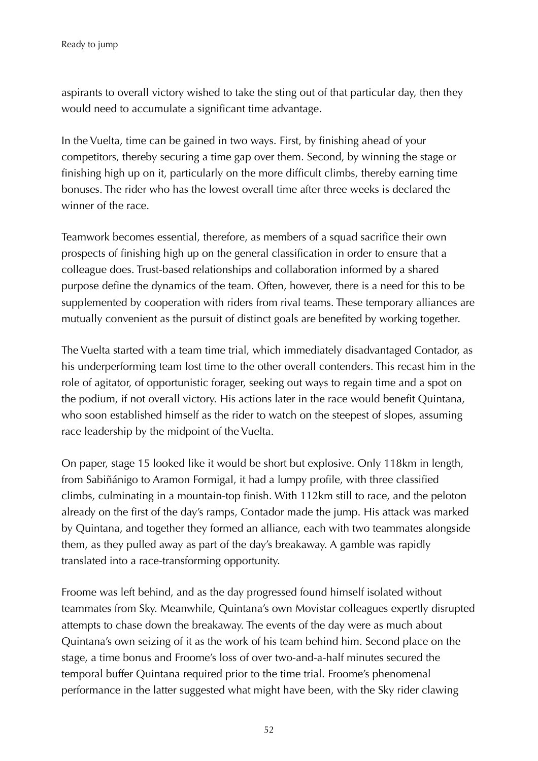aspirants to overall victory wished to take the sting out of that particular day, then they would need to accumulate a significant time advantage.

In the Vuelta, time can be gained in two ways. First, by finishing ahead of your competitors, thereby securing a time gap over them. Second, by winning the stage or finishing high up on it, particularly on the more difficult climbs, thereby earning time bonuses. The rider who has the lowest overall time after three weeks is declared the winner of the race.

Teamwork becomes essential, therefore, as members of a squad sacrifice their own prospects of finishing high up on the general classification in order to ensure that a colleague does. Trust-based relationships and collaboration informed by a shared purpose define the dynamics of the team. Often, however, there is a need for this to be supplemented by cooperation with riders from rival teams. These temporary alliances are mutually convenient as the pursuit of distinct goals are benefited by working together.

The Vuelta started with a team time trial, which immediately disadvantaged Contador, as his underperforming team lost time to the other overall contenders. This recast him in the role of agitator, of opportunistic forager, seeking out ways to regain time and a spot on the podium, if not overall victory. His actions later in the race would benefit Quintana, who soon established himself as the rider to watch on the steepest of slopes, assuming race leadership by the midpoint of the Vuelta.

On paper, stage 15 looked like it would be short but explosive. Only 118km in length, from Sabiñánigo to Aramon Formigal, it had a lumpy profile, with three classified climbs, culminating in a mountain-top finish. With 112km still to race, and the peloton already on the first of the day's ramps, Contador made the jump. His attack was marked by Quintana, and together they formed an alliance, each with two teammates alongside them, as they pulled away as part of the day's breakaway. A gamble was rapidly translated into a race-transforming opportunity.

Froome was left behind, and as the day progressed found himself isolated without teammates from Sky. Meanwhile, Quintana's own Movistar colleagues expertly disrupted attempts to chase down the breakaway. The events of the day were as much about Quintana's own seizing of it as the work of his team behind him. Second place on the stage, a time bonus and Froome's loss of over two-and-a-half minutes secured the temporal buffer Quintana required prior to the time trial. Froome's phenomenal performance in the latter suggested what might have been, with the Sky rider clawing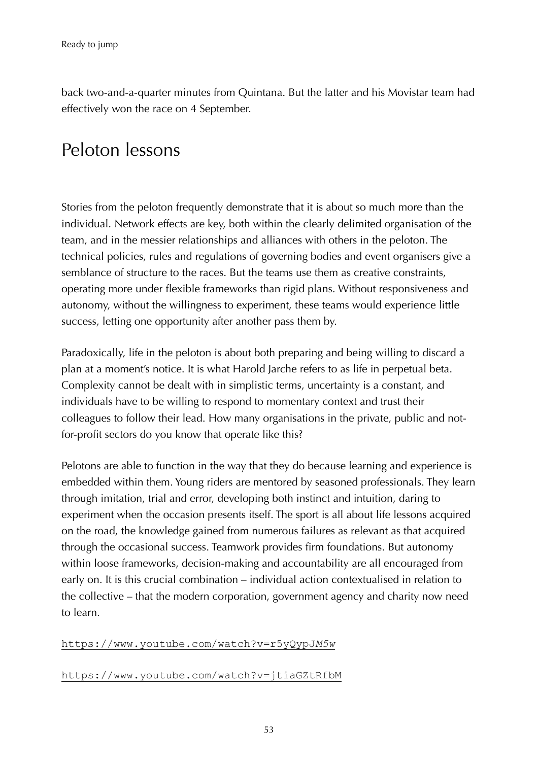back two-and-a-quarter minutes from Quintana. But the latter and his Movistar team had effectively won the race on 4 September.

#### Peloton lessons

Stories from the peloton frequently demonstrate that it is about so much more than the individual. Network effects are key, both within the clearly delimited organisation of the team, and in the messier relationships and alliances with others in the peloton. The technical policies, rules and regulations of governing bodies and event organisers give a semblance of structure to the races. But the teams use them as creative constraints, operating more under flexible frameworks than rigid plans. Without responsiveness and autonomy, without the willingness to experiment, these teams would experience little success, letting one opportunity after another pass them by.

Paradoxically, life in the peloton is about both preparing and being willing to discard a plan at a moment's notice. It is what Harold Jarche refers to as life in perpetual beta. Complexity cannot be dealt with in simplistic terms, uncertainty is a constant, and individuals have to be willing to respond to momentary context and trust their colleagues to follow their lead. How many organisations in the private, public and notfor-profit sectors do you know that operate like this?

Pelotons are able to function in the way that they do because learning and experience is embedded within them. Young riders are mentored by seasoned professionals. They learn through imitation, trial and error, developing both instinct and intuition, daring to experiment when the occasion presents itself. The sport is all about life lessons acquired on the road, the knowledge gained from numerous failures as relevant as that acquired through the occasional success. Teamwork provides firm foundations. But autonomy within loose frameworks, decision-making and accountability are all encouraged from early on. It is this crucial combination – individual action contextualised in relation to the collective – that the modern corporation, government agency and charity now need to learn.

#### [https://www.youtube.com/watch?v=r5yQypJ](https://www.youtube.com/watch?v=r5yQypJ_M5w)*[M5w](https://www.youtube.com/watch?v=r5yQypJ_M5w)*

#### <https://www.youtube.com/watch?v=jtiaGZtRfbM>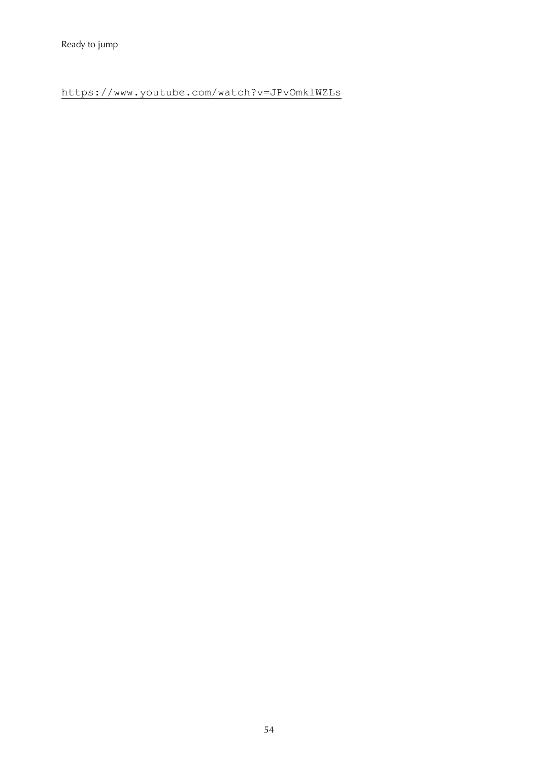<https://www.youtube.com/watch?v=JPvOmklWZLs>